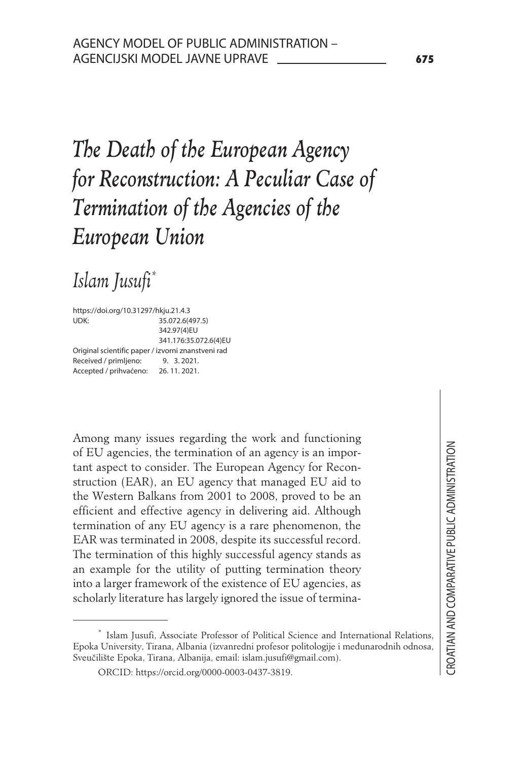# *The Death of the European Agency for Reconstruction: A Peculiar Case of Termination of the Agencies of the European Union*

# *Islam Jusufi\*5*

https://doi.org/10.31297/hkju.21.4.3 UDK: 35.072.6(497.5) 342.97(4)EU 341.176:35.072.6(4)EU Original scientific paper / izvorni znanstveni rad Received / primljeno: 9. 3.2021. Accepted / prihvaćeno: 26. 11. 2021.

Among many issues regarding the work and functioning of EU agencies, the termination of an agency is an important aspect to consider. The European Agency for Reconstruction (EAR), an EU agency that managed EU aid to the Western Balkans from 2001 to 2008, proved to be an efficient and effective agency in delivering aid. Although termination of any EU agency is a rare phenomenon, the EAR was terminated in 2008, despite its successful record. The termination of this highly successful agency stands as an example for the utility of putting termination theory into a larger framework of the existence of EU agencies, as scholarly literature has largely ignored the issue of termina-

<sup>\*</sup> Islam Jusufi, Associate Professor of Political Science and International Relations, Epoka University, Tirana, Albania (izvanredni profesor politologije i međunarodnih odnosa, Sveučilište Epoka, Tirana, Albanija, email: islam.jusufi@gmail.com).

ORCID: https://orcid.org/0000-0003-0437-3819.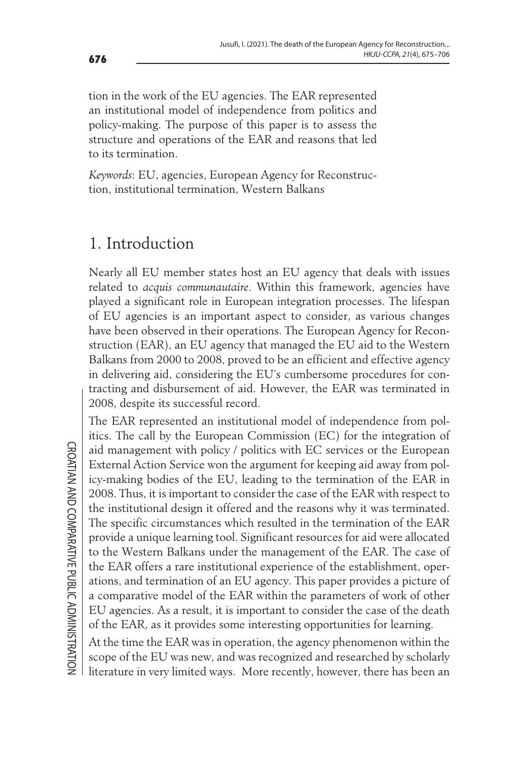tion in the work of the EU agencies. The EAR represented an institutional model of independence from politics and policy-making. The purpose of this paper is to assess the structure and operations of the EAR and reasons that led to its termination.

*Keywords*: EU, agencies, European Agency for Reconstruction, institutional termination, Western Balkans

# 1. Introduction

Nearly all EU member states host an EU agency that deals with issues related to *acquis communautaire*. Within this framework, agencies have played a significant role in European integration processes. The lifespan of EU agencies is an important aspect to consider, as various changes have been observed in their operations. The European Agency for Reconstruction (EAR), an EU agency that managed the EU aid to the Western Balkans from 2000 to 2008, proved to be an efficient and effective agency in delivering aid, considering the EU's cumbersome procedures for contracting and disbursement of aid. However, the EAR was terminated in 2008, despite its successful record.

The EAR represented an institutional model of independence from politics. The call by the European Commission (EC) for the integration of aid management with policy / politics with EC services or the European External Action Service won the argument for keeping aid away from policy-making bodies of the EU, leading to the termination of the EAR in 2008. Thus, it is important to consider the case of the EAR with respect to the institutional design it offered and the reasons why it was terminated. The specific circumstances which resulted in the termination of the EAR provide a unique learning tool. Significant resources for aid were allocated to the Western Balkans under the management of the EAR. The case of the EAR offers a rare institutional experience of the establishment, operations, and termination of an EU agency. This paper provides a picture of a comparative model of the EAR within the parameters of work of other EU agencies. As a result, it is important to consider the case of the death of the EAR, as it provides some interesting opportunities for learning.

At the time the EAR was in operation, the agency phenomenon within the scope of the EU was new, and was recognized and researched by scholarly literature in very limited ways. More recently, however, there has been an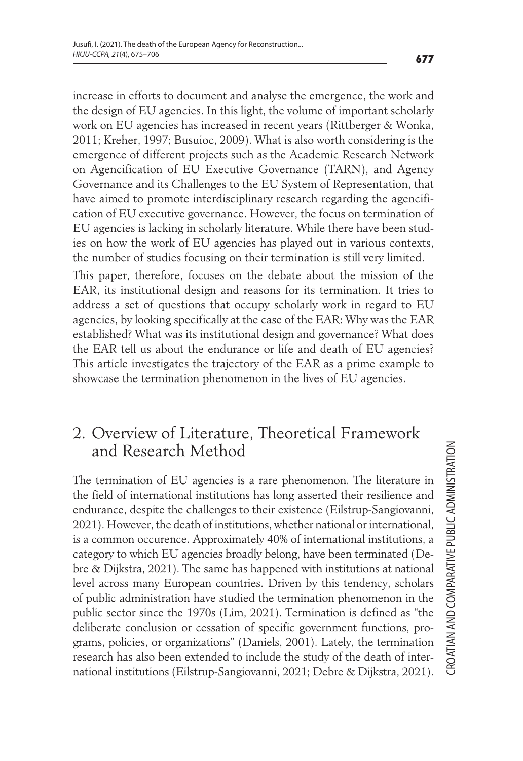increase in efforts to document and analyse the emergence, the work and the design of EU agencies. In this light, the volume of important scholarly work on EU agencies has increased in recent years (Rittberger & Wonka, 2011; Kreher, 1997; Busuioc, 2009). What is also worth considering is the emergence of different projects such as the Academic Research Network on Agencification of EU Executive Governance (TARN), and Agency Governance and its Challenges to the EU System of Representation, that have aimed to promote interdisciplinary research regarding the agencification of EU executive governance. However, the focus on termination of EU agencies is lacking in scholarly literature. While there have been studies on how the work of EU agencies has played out in various contexts, the number of studies focusing on their termination is still very limited.

This paper, therefore, focuses on the debate about the mission of the EAR, its institutional design and reasons for its termination. It tries to address a set of questions that occupy scholarly work in regard to EU agencies, by looking specifically at the case of the EAR: Why was the EAR established? What was its institutional design and governance? What does the EAR tell us about the endurance or life and death of EU agencies? This article investigates the trajectory of the EAR as a prime example to showcase the termination phenomenon in the lives of EU agencies.

#### 2. Overview of Literature, Theoretical Framework and Research Method

The termination of EU agencies is a rare phenomenon. The literature in the field of international institutions has long asserted their resilience and endurance, despite the challenges to their existence (Eilstrup-Sangiovanni, 2021). However, the death of institutions, whether national or international, is a common occurence. Approximately 40% of international institutions, a category to which EU agencies broadly belong, have been terminated (Debre & Dijkstra, 2021). The same has happened with institutions at national level across many European countries. Driven by this tendency, scholars of public administration have studied the termination phenomenon in the public sector since the 1970s (Lim, 2021). Termination is defined as "the deliberate conclusion or cessation of specific government functions, programs, policies, or organizations" (Daniels, 2001). Lately, the termination research has also been extended to include the study of the death of international institutions (Eilstrup-Sangiovanni, 2021; Debre & Dijkstra, 2021).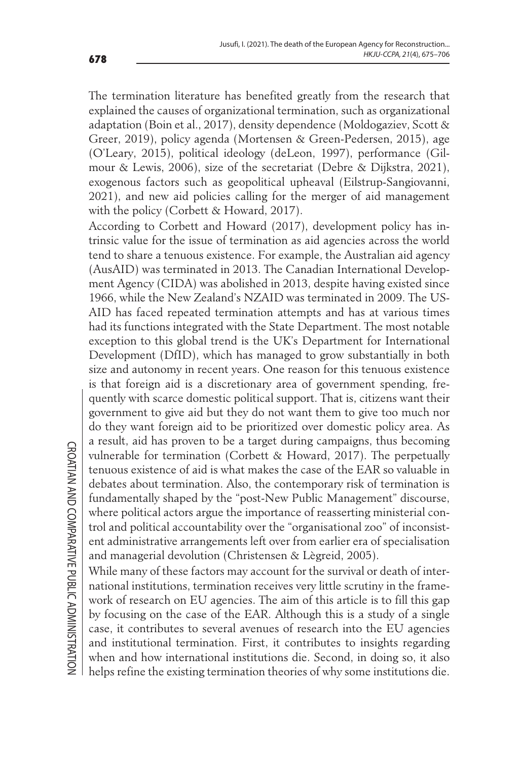The termination literature has benefited greatly from the research that explained the causes of organizational termination, such as organizational adaptation (Boin et al., 2017), density dependence (Moldogaziev, Scott & Greer, 2019), policy agenda (Mortensen & Green-Pedersen, 2015), age (O'Leary, 2015), political ideology (deLeon, 1997), performance (Gilmour & Lewis, 2006), size of the secretariat (Debre & Dijkstra, 2021), exogenous factors such as geopolitical upheaval (Eilstrup-Sangiovanni, 2021), and new aid policies calling for the merger of aid management with the policy (Corbett & Howard, 2017).

According to Corbett and Howard (2017), development policy has intrinsic value for the issue of termination as aid agencies across the world tend to share a tenuous existence. For example, the Australian aid agency (AusAID) was terminated in 2013. The Canadian International Development Agency (CIDA) was abolished in 2013, despite having existed since 1966, while the New Zealand's NZAID was terminated in 2009. The US-AID has faced repeated termination attempts and has at various times had its functions integrated with the State Department. The most notable exception to this global trend is the UK's Department for International Development (DfID), which has managed to grow substantially in both size and autonomy in recent years. One reason for this tenuous existence is that foreign aid is a discretionary area of government spending, frequently with scarce domestic political support. That is, citizens want their government to give aid but they do not want them to give too much nor do they want foreign aid to be prioritized over domestic policy area. As a result, aid has proven to be a target during campaigns, thus becoming vulnerable for termination (Corbett & Howard, 2017). The perpetually tenuous existence of aid is what makes the case of the EAR so valuable in debates about termination. Also, the contemporary risk of termination is fundamentally shaped by the "post-New Public Management" discourse, where political actors argue the importance of reasserting ministerial control and political accountability over the "organisational zoo" of inconsistent administrative arrangements left over from earlier era of specialisation and managerial devolution (Christensen & Lègreid, 2005).

While many of these factors may account for the survival or death of international institutions, termination receives very little scrutiny in the framework of research on EU agencies. The aim of this article is to fill this gap by focusing on the case of the EAR. Although this is a study of a single case, it contributes to several avenues of research into the EU agencies and institutional termination. First, it contributes to insights regarding when and how international institutions die. Second, in doing so, it also helps refine the existing termination theories of why some institutions die.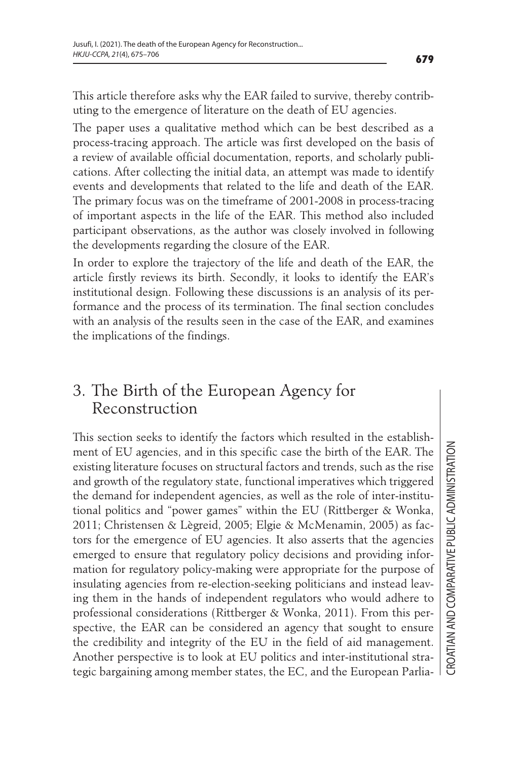This article therefore asks why the EAR failed to survive, thereby contributing to the emergence of literature on the death of EU agencies.

The paper uses a qualitative method which can be best described as a process-tracing approach. The article was first developed on the basis of a review of available official documentation, reports, and scholarly publications. After collecting the initial data, an attempt was made to identify events and developments that related to the life and death of the EAR. The primary focus was on the timeframe of 2001-2008 in process-tracing of important aspects in the life of the EAR. This method also included participant observations, as the author was closely involved in following the developments regarding the closure of the EAR.

In order to explore the trajectory of the life and death of the EAR, the article firstly reviews its birth. Secondly, it looks to identify the EAR's institutional design. Following these discussions is an analysis of its performance and the process of its termination. The final section concludes with an analysis of the results seen in the case of the EAR, and examines the implications of the findings.

#### 3. The Birth of the European Agency for Reconstruction

This section seeks to identify the factors which resulted in the establishment of EU agencies, and in this specific case the birth of the EAR. The existing literature focuses on structural factors and trends, such as the rise and growth of the regulatory state, functional imperatives which triggered the demand for independent agencies, as well as the role of inter-institutional politics and "power games" within the EU (Rittberger & Wonka, 2011; Christensen & Lægreid, 2005; Elgie & McMenamin, 2005) as factors for the emergence of EU agencies. It also asserts that the agencies emerged to ensure that regulatory policy decisions and providing information for regulatory policy-making were appropriate for the purpose of insulating agencies from re-election-seeking politicians and instead leaving them in the hands of independent regulators who would adhere to professional considerations (Rittberger & Wonka, 2011). From this perspective, the EAR can be considered an agency that sought to ensure the credibility and integrity of the EU in the field of aid management. Another perspective is to look at EU politics and inter-institutional strategic bargaining among member states, the EC, and the European Parlia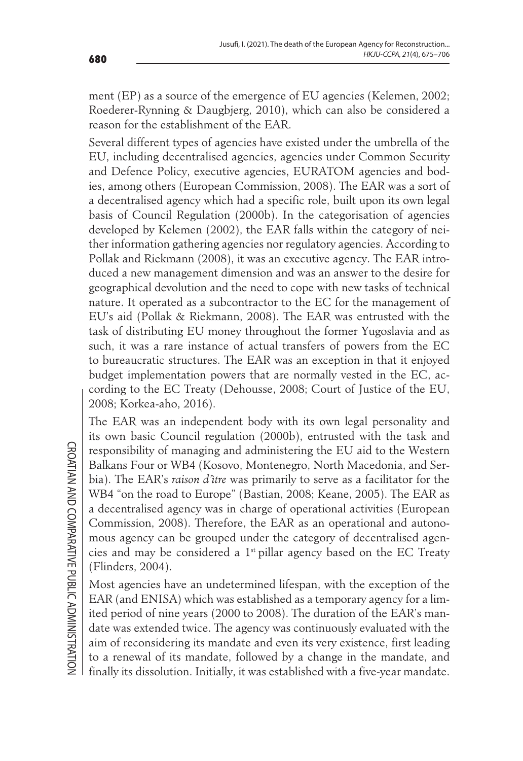ment (EP) as a source of the emergence of EU agencies (Kelemen, 2002; Roederer-Rynning & Daugbjerg, 2010), which can also be considered a reason for the establishment of the EAR.

Several different types of agencies have existed under the umbrella of the EU, including decentralised agencies, agencies under Common Security and Defence Policy, executive agencies, EURATOM agencies and bodies, among others (European Commission, 2008). The EAR was a sort of a decentralised agency which had a specific role, built upon its own legal basis of Council Regulation (2000b). In the categorisation of agencies developed by Kelemen (2002), the EAR falls within the category of neither information gathering agencies nor regulatory agencies. According to Pollak and Riekmann (2008), it was an executive agency. The EAR introduced a new management dimension and was an answer to the desire for geographical devolution and the need to cope with new tasks of technical nature. It operated as a subcontractor to the EC for the management of EU's aid (Pollak & Riekmann, 2008). The EAR was entrusted with the task of distributing EU money throughout the former Yugoslavia and as such, it was a rare instance of actual transfers of powers from the EC to bureaucratic structures. The EAR was an exception in that it enjoyed budget implementation powers that are normally vested in the EC, according to the EC Treaty (Dehousse, 2008; Court of Justice of the EU, 2008; Korkea-aho, 2016).

The EAR was an independent body with its own legal personality and its own basic Council regulation (2000b), entrusted with the task and responsibility of managing and administering the EU aid to the Western Balkans Four or WB4 (Kosovo, Montenegro, North Macedonia, and Serbia). The EAR's *raison d'être* was primarily to serve as a facilitator for the WB4 "on the road to Europe" (Bastian, 2008; Keane, 2005). The EAR as a decentralised agency was in charge of operational activities (European Commission, 2008). Therefore, the EAR as an operational and autonomous agency can be grouped under the category of decentralised agencies and may be considered a  $1<sup>st</sup>$  pillar agency based on the EC Treaty (Flinders, 2004).

Most agencies have an undetermined lifespan, with the exception of the EAR (and ENISA) which was established as a temporary agency for a limited period of nine years (2000 to 2008). The duration of the EAR's mandate was extended twice. The agency was continuously evaluated with the aim of reconsidering its mandate and even its very existence, first leading to a renewal of its mandate, followed by a change in the mandate, and finally its dissolution. Initially, it was established with a five-year mandate.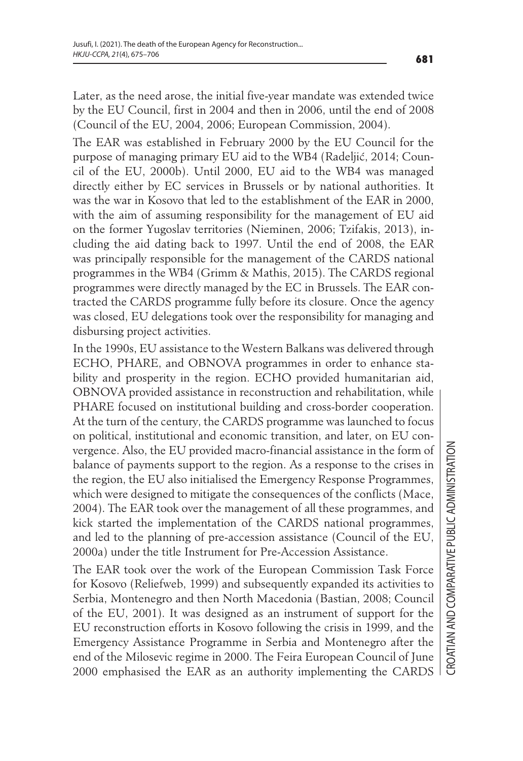Later, as the need arose, the initial five-year mandate was extended twice by the EU Council, first in 2004 and then in 2006, until the end of 2008 (Council of the EU, 2004, 2006; European Commission, 2004).

The EAR was established in February 2000 by the EU Council for the purpose of managing primary EU aid to the WB4 (Radeljić, 2014; Council of the EU, 2000b). Until 2000, EU aid to the WB4 was managed directly either by EC services in Brussels or by national authorities. It was the war in Kosovo that led to the establishment of the EAR in 2000, with the aim of assuming responsibility for the management of EU aid on the former Yugoslav territories (Nieminen, 2006; Tzifakis, 2013), including the aid dating back to 1997. Until the end of 2008, the EAR was principally responsible for the management of the CARDS national programmes in the WB4 (Grimm & Mathis, 2015). The CARDS regional programmes were directly managed by the EC in Brussels. The EAR contracted the CARDS programme fully before its closure. Once the agency was closed, EU delegations took over the responsibility for managing and disbursing project activities.

In the 1990s, EU assistance to the Western Balkans was delivered through ECHO, PHARE, and OBNOVA programmes in order to enhance stability and prosperity in the region. ECHO provided humanitarian aid, OBNOVA provided assistance in reconstruction and rehabilitation, while PHARE focused on institutional building and cross-border cooperation. At the turn of the century, the CARDS programme was launched to focus on political, institutional and economic transition, and later, on EU convergence. Also, the EU provided macro-financial assistance in the form of balance of payments support to the region. As a response to the crises in the region, the EU also initialised the Emergency Response Programmes, which were designed to mitigate the consequences of the conflicts (Mace, 2004). The EAR took over the management of all these programmes, and kick started the implementation of the CARDS national programmes, and led to the planning of pre-accession assistance (Council of the EU, 2000a) under the title Instrument for Pre-Accession Assistance.

The EAR took over the work of the European Commission Task Force for Kosovo (Reliefweb, 1999) and subsequently expanded its activities to Serbia, Montenegro and then North Macedonia (Bastian, 2008; Council of the EU, 2001). It was designed as an instrument of support for the EU reconstruction efforts in Kosovo following the crisis in 1999, and the Emergency Assistance Programme in Serbia and Montenegro after the end of the Milosevic regime in 2000. The Feira European Council of June 2000 emphasised the EAR as an authority implementing the CARDS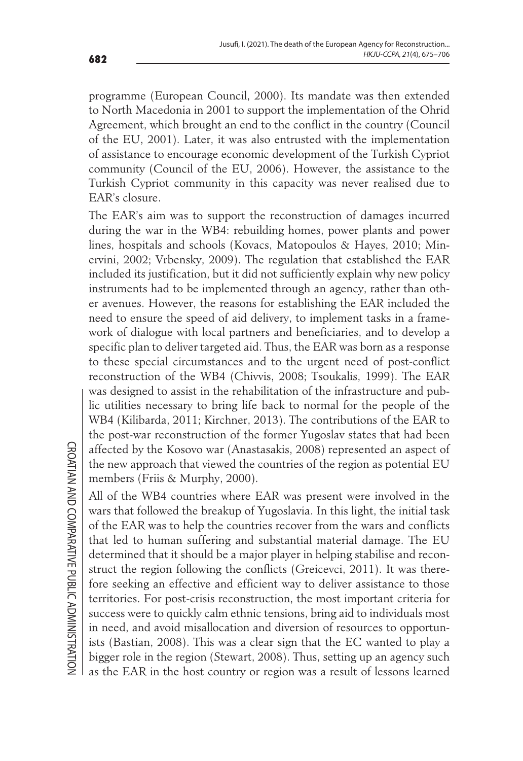programme (European Council, 2000). Its mandate was then extended to North Macedonia in 2001 to support the implementation of the Ohrid Agreement, which brought an end to the conflict in the country (Council of the EU, 2001). Later, it was also entrusted with the implementation of assistance to encourage economic development of the Turkish Cypriot community (Council of the EU, 2006). However, the assistance to the Turkish Cypriot community in this capacity was never realised due to EAR's closure.

The EAR's aim was to support the reconstruction of damages incurred during the war in the WB4: rebuilding homes, power plants and power lines, hospitals and schools (Kovacs, Matopoulos & Hayes, 2010; Minervini, 2002; Vrbensky, 2009). The regulation that established the EAR included its justification, but it did not sufficiently explain why new policy instruments had to be implemented through an agency, rather than other avenues. However, the reasons for establishing the EAR included the need to ensure the speed of aid delivery, to implement tasks in a framework of dialogue with local partners and beneficiaries, and to develop a specific plan to deliver targeted aid. Thus, the EAR was born as a response to these special circumstances and to the urgent need of post-conflict reconstruction of the WB4 (Chivvis, 2008; Tsoukalis, 1999). The EAR was designed to assist in the rehabilitation of the infrastructure and public utilities necessary to bring life back to normal for the people of the WB4 (Kilibarda, 2011; Kirchner, 2013). The contributions of the EAR to the post-war reconstruction of the former Yugoslav states that had been affected by the Kosovo war (Anastasakis, 2008) represented an aspect of the new approach that viewed the countries of the region as potential EU members (Friis & Murphy, 2000).

All of the WB4 countries where EAR was present were involved in the wars that followed the breakup of Yugoslavia. In this light, the initial task of the EAR was to help the countries recover from the wars and conflicts that led to human suffering and substantial material damage. The EU determined that it should be a major player in helping stabilise and reconstruct the region following the conflicts (Greicevci, 2011). It was therefore seeking an effective and efficient way to deliver assistance to those territories. For post-crisis reconstruction, the most important criteria for success were to quickly calm ethnic tensions, bring aid to individuals most in need, and avoid misallocation and diversion of resources to opportunists (Bastian, 2008). This was a clear sign that the EC wanted to play a bigger role in the region (Stewart, 2008). Thus, setting up an agency such as the EAR in the host country or region was a result of lessons learned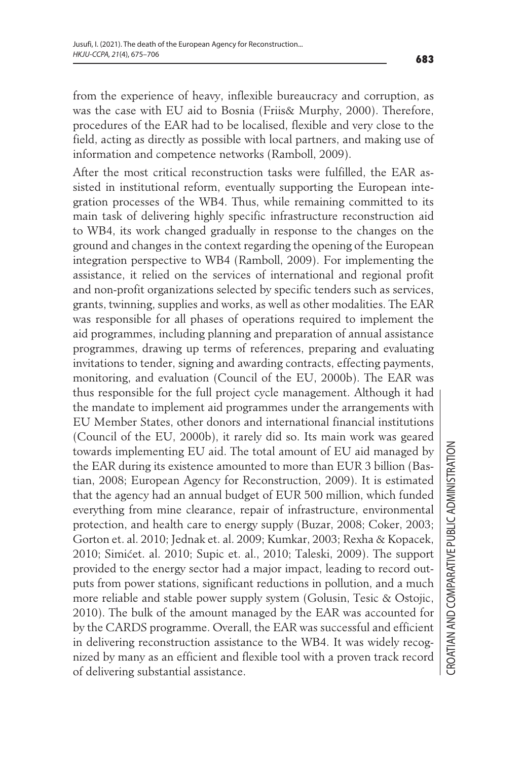from the experience of heavy, inflexible bureaucracy and corruption, as was the case with EU aid to Bosnia (Friis& Murphy, 2000). Therefore, procedures of the EAR had to be localised, flexible and very close to the field, acting as directly as possible with local partners, and making use of information and competence networks (Ramboll, 2009).

After the most critical reconstruction tasks were fulfilled, the EAR assisted in institutional reform, eventually supporting the European integration processes of the WB4. Thus, while remaining committed to its main task of delivering highly specific infrastructure reconstruction aid to WB4, its work changed gradually in response to the changes on the ground and changes in the context regarding the opening of the European integration perspective to WB4 (Ramboll, 2009). For implementing the assistance, it relied on the services of international and regional profit and non-profit organizations selected by specific tenders such as services, grants, twinning, supplies and works, as well as other modalities. The EAR was responsible for all phases of operations required to implement the aid programmes, including planning and preparation of annual assistance programmes, drawing up terms of references, preparing and evaluating invitations to tender, signing and awarding contracts, effecting payments, monitoring, and evaluation (Council of the EU, 2000b). The EAR was thus responsible for the full project cycle management. Although it had the mandate to implement aid programmes under the arrangements with EU Member States, other donors and international financial institutions (Council of the EU, 2000b), it rarely did so. Its main work was geared towards implementing EU aid. The total amount of EU aid managed by the EAR during its existence amounted to more than EUR 3 billion (Bastian, 2008; European Agency for Reconstruction, 2009). It is estimated that the agency had an annual budget of EUR 500 million, which funded everything from mine clearance, repair of infrastructure, environmental protection, and health care to energy supply (Buzar, 2008; Coker, 2003; Gorton et. al. 2010; Jednak et. al. 2009; Kumkar, 2003; Rexha & Kopacek, 2010; Simićet. al. 2010; Supic et. al., 2010; Taleski, 2009). The support provided to the energy sector had a major impact, leading to record outputs from power stations, significant reductions in pollution, and a much more reliable and stable power supply system (Golusin, Tesic & Ostojic, 2010). The bulk of the amount managed by the EAR was accounted for by the CARDS programme. Overall, the EAR was successful and efficient in delivering reconstruction assistance to the WB4. It was widely recognized by many as an efficient and flexible tool with a proven track record of delivering substantial assistance.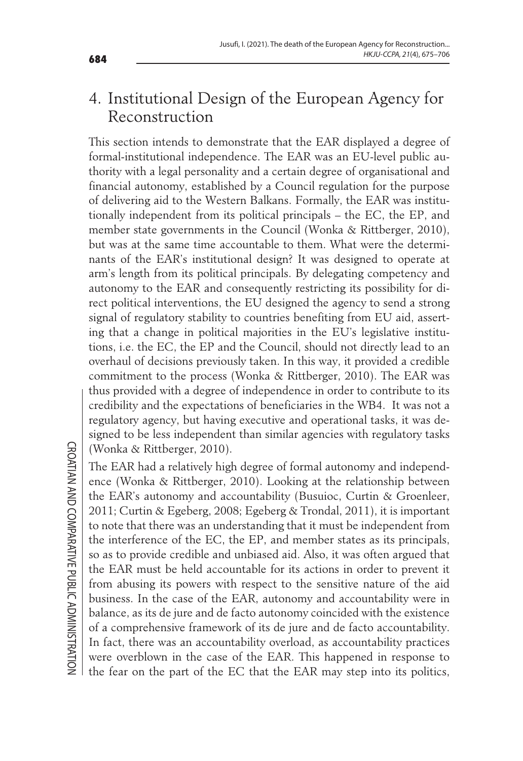## 4. Institutional Design of the European Agency for Reconstruction

This section intends to demonstrate that the EAR displayed a degree of formal-institutional independence. The EAR was an EU-level public authority with a legal personality and a certain degree of organisational and financial autonomy, established by a Council regulation for the purpose of delivering aid to the Western Balkans. Formally, the EAR was institutionally independent from its political principals – the EC, the EP, and member state governments in the Council (Wonka & Rittberger, 2010), but was at the same time accountable to them. What were the determinants of the EAR's institutional design? It was designed to operate at arm's length from its political principals. By delegating competency and autonomy to the EAR and consequently restricting its possibility for direct political interventions, the EU designed the agency to send a strong signal of regulatory stability to countries benefiting from EU aid, asserting that a change in political majorities in the EU's legislative institutions, i.e. the EC, the EP and the Council, should not directly lead to an overhaul of decisions previously taken. In this way, it provided a credible commitment to the process (Wonka & Rittberger, 2010). The EAR was thus provided with a degree of independence in order to contribute to its credibility and the expectations of beneficiaries in the WB4. It was not a regulatory agency, but having executive and operational tasks, it was designed to be less independent than similar agencies with regulatory tasks (Wonka & Rittberger, 2010).

The EAR had a relatively high degree of formal autonomy and independence (Wonka & Rittberger, 2010). Looking at the relationship between the EAR's autonomy and accountability (Busuioc, Curtin & Groenleer, 2011; Curtin & Egeberg, 2008; Egeberg & Trondal, 2011), it is important to note that there was an understanding that it must be independent from the interference of the EC, the EP, and member states as its principals, so as to provide credible and unbiased aid. Also, it was often argued that the EAR must be held accountable for its actions in order to prevent it from abusing its powers with respect to the sensitive nature of the aid business. In the case of the EAR, autonomy and accountability were in balance, as its de jure and de facto autonomy coincided with the existence of a comprehensive framework of its de jure and de facto accountability. In fact, there was an accountability overload, as accountability practices were overblown in the case of the EAR. This happened in response to the fear on the part of the EC that the EAR may step into its politics,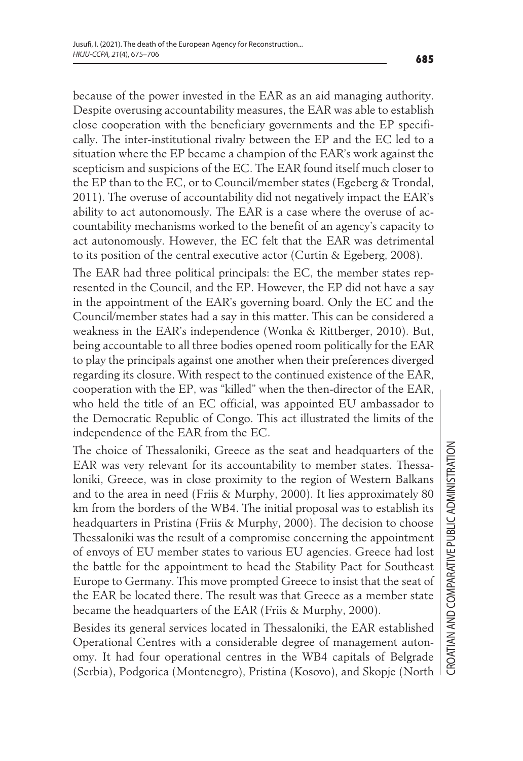because of the power invested in the EAR as an aid managing authority. Despite overusing accountability measures, the EAR was able to establish close cooperation with the beneficiary governments and the EP specifically. The inter-institutional rivalry between the EP and the EC led to a situation where the EP became a champion of the EAR's work against the scepticism and suspicions of the EC. The EAR found itself much closer to the EP than to the EC, or to Council/member states (Egeberg & Trondal, 2011). The overuse of accountability did not negatively impact the EAR's ability to act autonomously. The EAR is a case where the overuse of accountability mechanisms worked to the benefit of an agency's capacity to act autonomously. However, the EC felt that the EAR was detrimental to its position of the central executive actor (Curtin & Egeberg, 2008).

The EAR had three political principals: the EC, the member states represented in the Council, and the EP. However, the EP did not have a say in the appointment of the EAR's governing board. Only the EC and the Council/member states had a say in this matter. This can be considered a weakness in the EAR's independence (Wonka & Rittberger, 2010). But, being accountable to all three bodies opened room politically for the EAR to play the principals against one another when their preferences diverged regarding its closure. With respect to the continued existence of the EAR, cooperation with the EP, was "killed" when the then-director of the EAR, who held the title of an EC official, was appointed EU ambassador to the Democratic Republic of Congo. This act illustrated the limits of the independence of the EAR from the EC.

The choice of Thessaloniki, Greece as the seat and headquarters of the EAR was very relevant for its accountability to member states. Thessaloniki, Greece, was in close proximity to the region of Western Balkans and to the area in need (Friis & Murphy, 2000). It lies approximately 80 km from the borders of the WB4. The initial proposal was to establish its headquarters in Pristina (Friis & Murphy, 2000). The decision to choose Thessaloniki was the result of a compromise concerning the appointment of envoys of EU member states to various EU agencies. Greece had lost the battle for the appointment to head the Stability Pact for Southeast Europe to Germany. This move prompted Greece to insist that the seat of the EAR be located there. The result was that Greece as a member state became the headquarters of the EAR (Friis & Murphy, 2000).

Besides its general services located in Thessaloniki, the EAR established Operational Centres with a considerable degree of management autonomy. It had four operational centres in the WB4 capitals of Belgrade (Serbia), Podgorica (Montenegro), Pristina (Kosovo), and Skopje (North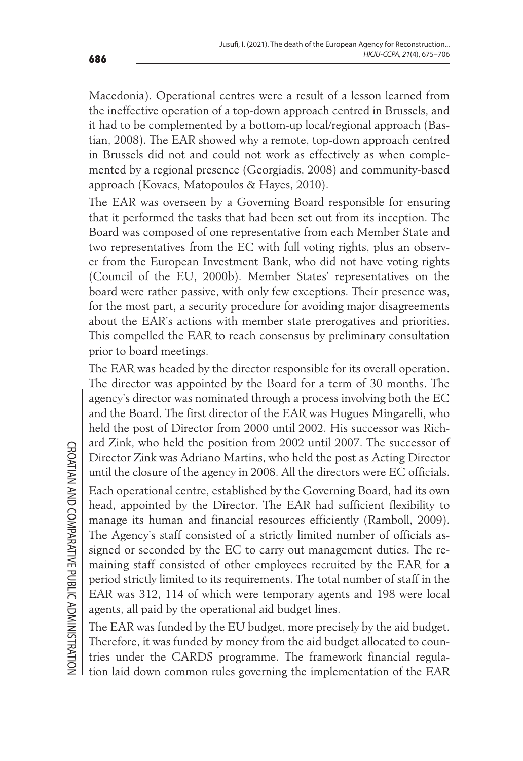Macedonia). Operational centres were a result of a lesson learned from the ineffective operation of a top-down approach centred in Brussels, and it had to be complemented by a bottom-up local/regional approach (Bastian, 2008). The EAR showed why a remote, top-down approach centred in Brussels did not and could not work as effectively as when complemented by a regional presence (Georgiadis, 2008) and community-based approach (Kovacs, Matopoulos & Hayes, 2010).

The EAR was overseen by a Governing Board responsible for ensuring that it performed the tasks that had been set out from its inception. The Board was composed of one representative from each Member State and two representatives from the EC with full voting rights, plus an observer from the European Investment Bank, who did not have voting rights (Council of the EU, 2000b). Member States' representatives on the board were rather passive, with only few exceptions. Their presence was, for the most part, a security procedure for avoiding major disagreements about the EAR's actions with member state prerogatives and priorities. This compelled the EAR to reach consensus by preliminary consultation prior to board meetings.

The EAR was headed by the director responsible for its overall operation. The director was appointed by the Board for a term of 30 months. The agency's director was nominated through a process involving both the EC and the Board. The first director of the EAR was Hugues Mingarelli, who held the post of Director from 2000 until 2002. His successor was Richard Zink, who held the position from 2002 until 2007. The successor of Director Zink was Adriano Martins, who held the post as Acting Director until the closure of the agency in 2008. All the directors were EC officials.

Each operational centre, established by the Governing Board, had its own head, appointed by the Director. The EAR had sufficient flexibility to manage its human and financial resources efficiently (Ramboll, 2009). The Agency's staff consisted of a strictly limited number of officials assigned or seconded by the EC to carry out management duties. The remaining staff consisted of other employees recruited by the EAR for a period strictly limited to its requirements. The total number of staff in the EAR was 312, 114 of which were temporary agents and 198 were local agents, all paid by the operational aid budget lines.

The EAR was funded by the EU budget, more precisely by the aid budget. Therefore, it was funded by money from the aid budget allocated to countries under the CARDS programme. The framework financial regulation laid down common rules governing the implementation of the EAR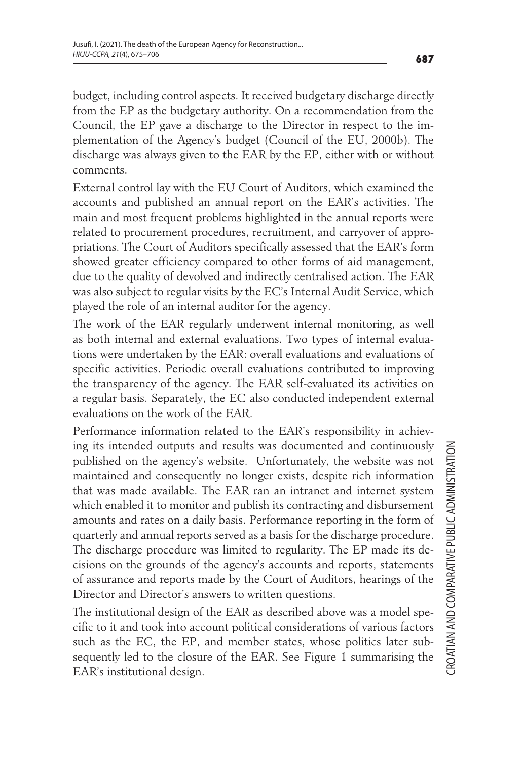budget, including control aspects. It received budgetary discharge directly from the EP as the budgetary authority. On a recommendation from the Council, the EP gave a discharge to the Director in respect to the implementation of the Agency's budget (Council of the EU, 2000b). The discharge was always given to the EAR by the EP, either with or without comments.

External control lay with the EU Court of Auditors, which examined the accounts and published an annual report on the EAR's activities. The main and most frequent problems highlighted in the annual reports were related to procurement procedures, recruitment, and carryover of appropriations. The Court of Auditors specifically assessed that the EAR's form showed greater efficiency compared to other forms of aid management, due to the quality of devolved and indirectly centralised action. The EAR was also subject to regular visits by the EC's Internal Audit Service, which played the role of an internal auditor for the agency.

The work of the EAR regularly underwent internal monitoring, as well as both internal and external evaluations. Two types of internal evaluations were undertaken by the EAR: overall evaluations and evaluations of specific activities. Periodic overall evaluations contributed to improving the transparency of the agency. The EAR self-evaluated its activities on a regular basis. Separately, the EC also conducted independent external evaluations on the work of the EAR.

Performance information related to the EAR's responsibility in achieving its intended outputs and results was documented and continuously published on the agency's website. Unfortunately, the website was not maintained and consequently no longer exists, despite rich information that was made available. The EAR ran an intranet and internet system which enabled it to monitor and publish its contracting and disbursement amounts and rates on a daily basis. Performance reporting in the form of quarterly and annual reports served as a basis for the discharge procedure. The discharge procedure was limited to regularity. The EP made its decisions on the grounds of the agency's accounts and reports, statements of assurance and reports made by the Court of Auditors, hearings of the Director and Director's answers to written questions.

The institutional design of the EAR as described above was a model specific to it and took into account political considerations of various factors such as the EC, the EP, and member states, whose politics later subsequently led to the closure of the EAR. See Figure 1 summarising the EAR's institutional design.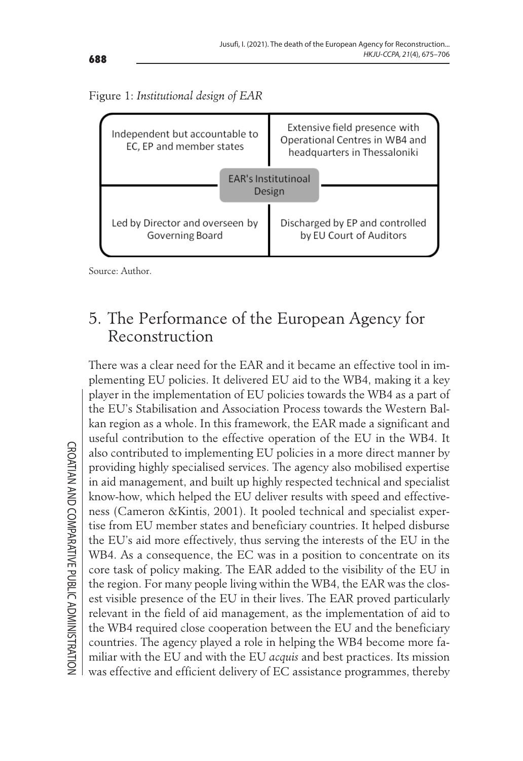



Source: Author.

#### 5. The Performance of the European Agency for Reconstruction

There was a clear need for the EAR and it became an effective tool in implementing EU policies. It delivered EU aid to the WB4, making it a key player in the implementation of EU policies towards the WB4 as a part of the EU's Stabilisation and Association Process towards the Western Balkan region as a whole. In this framework, the EAR made a significant and useful contribution to the effective operation of the EU in the WB4. It also contributed to implementing EU policies in a more direct manner by providing highly specialised services. The agency also mobilised expertise in aid management, and built up highly respected technical and specialist know-how, which helped the EU deliver results with speed and effectiveness (Cameron &Kintis, 2001). It pooled technical and specialist expertise from EU member states and beneficiary countries. It helped disburse the EU's aid more effectively, thus serving the interests of the EU in the WB4. As a consequence, the EC was in a position to concentrate on its core task of policy making. The EAR added to the visibility of the EU in the region. For many people living within the WB4, the EAR was the closest visible presence of the EU in their lives. The EAR proved particularly relevant in the field of aid management, as the implementation of aid to the WB4 required close cooperation between the EU and the beneficiary countries. The agency played a role in helping the WB4 become more familiar with the EU and with the EU *acquis* and best practices. Its mission was effective and efficient delivery of EC assistance programmes, thereby

**CROATIAN AND COMPARATIVE PUBLIC ADMINISTRATION** CROATIAN AND COMPARATIVE PUBLIC ADMINISTRATION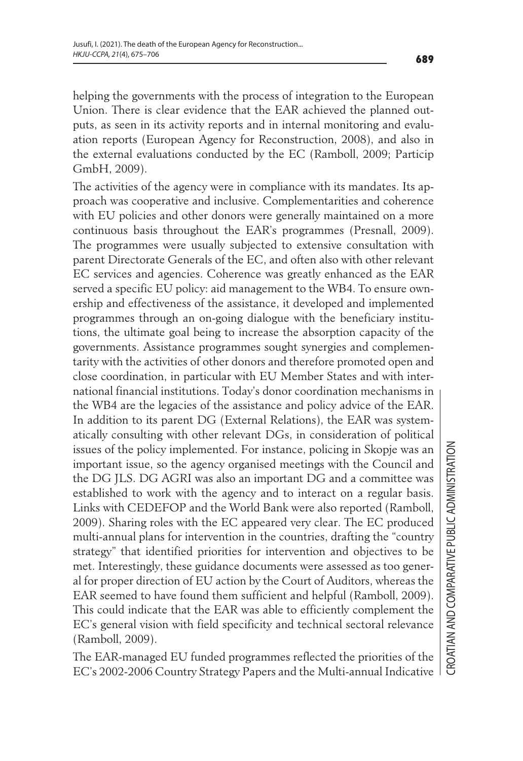helping the governments with the process of integration to the European Union. There is clear evidence that the EAR achieved the planned outputs, as seen in its activity reports and in internal monitoring and evaluation reports (European Agency for Reconstruction, 2008), and also in the external evaluations conducted by the EC (Ramboll, 2009; Particip GmbH, 2009).

The activities of the agency were in compliance with its mandates. Its approach was cooperative and inclusive. Complementarities and coherence with EU policies and other donors were generally maintained on a more continuous basis throughout the EAR's programmes (Presnall, 2009). The programmes were usually subjected to extensive consultation with parent Directorate Generals of the EC, and often also with other relevant EC services and agencies. Coherence was greatly enhanced as the EAR served a specific EU policy: aid management to the WB4. To ensure ownership and effectiveness of the assistance, it developed and implemented programmes through an on-going dialogue with the beneficiary institutions, the ultimate goal being to increase the absorption capacity of the governments. Assistance programmes sought synergies and complementarity with the activities of other donors and therefore promoted open and close coordination, in particular with EU Member States and with international financial institutions. Today's donor coordination mechanisms in the WB4 are the legacies of the assistance and policy advice of the EAR. In addition to its parent DG (External Relations), the EAR was systematically consulting with other relevant DGs, in consideration of political issues of the policy implemented. For instance, policing in Skopje was an important issue, so the agency organised meetings with the Council and the DG JLS. DG AGRI was also an important DG and a committee was established to work with the agency and to interact on a regular basis. Links with CEDEFOP and the World Bank were also reported (Ramboll, 2009). Sharing roles with the EC appeared very clear. The EC produced multi-annual plans for intervention in the countries, drafting the "country strategy" that identified priorities for intervention and objectives to be met. Interestingly, these guidance documents were assessed as too general for proper direction of EU action by the Court of Auditors, whereas the EAR seemed to have found them sufficient and helpful (Ramboll, 2009). This could indicate that the EAR was able to efficiently complement the EC's general vision with field specificity and technical sectoral relevance (Ramboll, 2009).

The EAR-managed EU funded programmes reflected the priorities of the EC's 2002-2006 Country Strategy Papers and the Multi-annual Indicative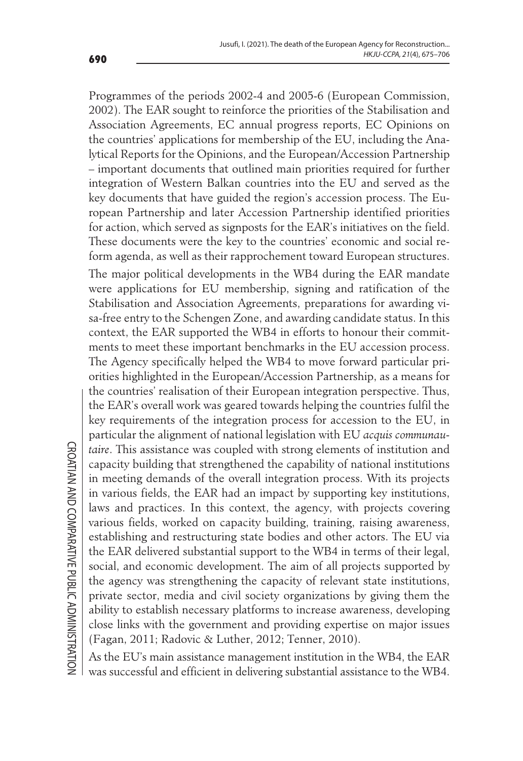Programmes of the periods 2002-4 and 2005-6 (European Commission, 2002). The EAR sought to reinforce the priorities of the Stabilisation and Association Agreements, EC annual progress reports, EC Opinions on the countries' applications for membership of the EU, including the Analytical Reports for the Opinions, and the European/Accession Partnership – important documents that outlined main priorities required for further integration of Western Balkan countries into the EU and served as the key documents that have guided the region's accession process. The European Partnership and later Accession Partnership identified priorities for action, which served as signposts for the EAR's initiatives on the field. These documents were the key to the countries' economic and social reform agenda, as well as their rapprochement toward European structures.

The major political developments in the WB4 during the EAR mandate were applications for EU membership, signing and ratification of the Stabilisation and Association Agreements, preparations for awarding visa-free entry to the Schengen Zone, and awarding candidate status. In this context, the EAR supported the WB4 in efforts to honour their commitments to meet these important benchmarks in the EU accession process. The Agency specifically helped the WB4 to move forward particular priorities highlighted in the European/Accession Partnership, as a means for the countries' realisation of their European integration perspective. Thus, the EAR's overall work was geared towards helping the countries fulfil the key requirements of the integration process for accession to the EU, in particular the alignment of national legislation with EU *acquis communautaire*. This assistance was coupled with strong elements of institution and capacity building that strengthened the capability of national institutions in meeting demands of the overall integration process. With its projects in various fields, the EAR had an impact by supporting key institutions, laws and practices. In this context, the agency, with projects covering various fields, worked on capacity building, training, raising awareness, establishing and restructuring state bodies and other actors. The EU via the EAR delivered substantial support to the WB4 in terms of their legal, social, and economic development. The aim of all projects supported by the agency was strengthening the capacity of relevant state institutions, private sector, media and civil society organizations by giving them the ability to establish necessary platforms to increase awareness, developing close links with the government and providing expertise on major issues (Fagan, 2011; Radovic & Luther, 2012; Tenner, 2010).

As the EU's main assistance management institution in the WB4, the EAR was successful and efficient in delivering substantial assistance to the WB4.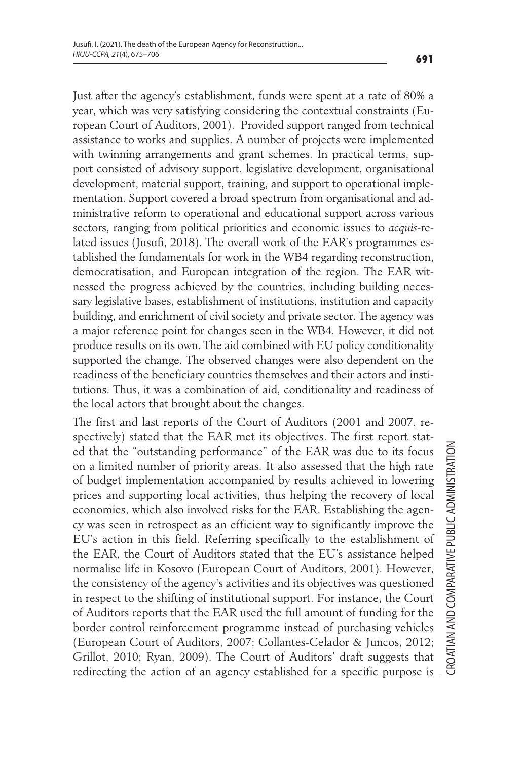Just after the agency's establishment, funds were spent at a rate of 80% a year, which was very satisfying considering the contextual constraints (European Court of Auditors, 2001). Provided support ranged from technical assistance to works and supplies. A number of projects were implemented with twinning arrangements and grant schemes. In practical terms, support consisted of advisory support, legislative development, organisational development, material support, training, and support to operational implementation. Support covered a broad spectrum from organisational and administrative reform to operational and educational support across various sectors, ranging from political priorities and economic issues to *acquis*-related issues (Jusufi, 2018). The overall work of the EAR's programmes established the fundamentals for work in the WB4 regarding reconstruction, democratisation, and European integration of the region. The EAR witnessed the progress achieved by the countries, including building necessary legislative bases, establishment of institutions, institution and capacity building, and enrichment of civil society and private sector. The agency was a major reference point for changes seen in the WB4. However, it did not produce results on its own. The aid combined with EU policy conditionality supported the change. The observed changes were also dependent on the readiness of the beneficiary countries themselves and their actors and institutions. Thus, it was a combination of aid, conditionality and readiness of the local actors that brought about the changes.

The first and last reports of the Court of Auditors (2001 and 2007, respectively) stated that the EAR met its objectives. The first report stated that the "outstanding performance" of the EAR was due to its focus on a limited number of priority areas. It also assessed that the high rate of budget implementation accompanied by results achieved in lowering prices and supporting local activities, thus helping the recovery of local economies, which also involved risks for the EAR. Establishing the agency was seen in retrospect as an efficient way to significantly improve the EU's action in this field. Referring specifically to the establishment of the EAR, the Court of Auditors stated that the EU's assistance helped normalise life in Kosovo (European Court of Auditors, 2001). However, the consistency of the agency's activities and its objectives was questioned in respect to the shifting of institutional support. For instance, the Court of Auditors reports that the EAR used the full amount of funding for the border control reinforcement programme instead of purchasing vehicles (European Court of Auditors, 2007; Collantes-Celador & Juncos, 2012; Grillot, 2010; Ryan, 2009). The Court of Auditors' draft suggests that redirecting the action of an agency established for a specific purpose is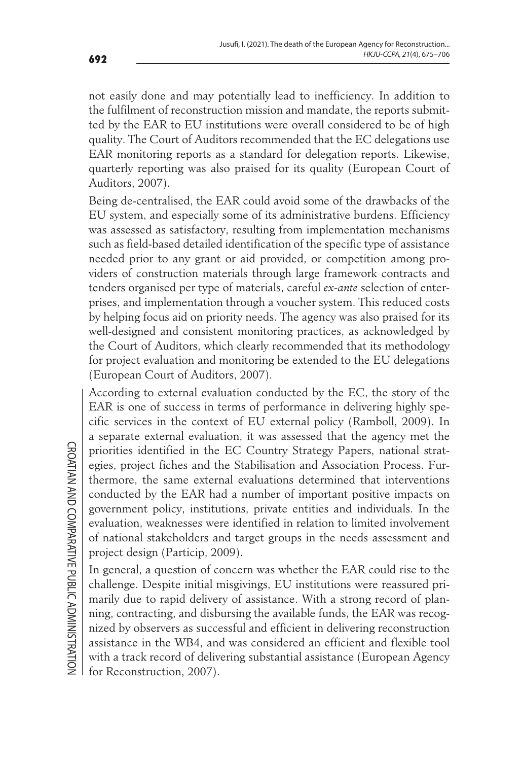not easily done and may potentially lead to inefficiency. In addition to the fulfilment of reconstruction mission and mandate, the reports submitted by the EAR to EU institutions were overall considered to be of high quality. The Court of Auditors recommended that the EC delegations use EAR monitoring reports as a standard for delegation reports. Likewise, quarterly reporting was also praised for its quality (European Court of Auditors, 2007).

Being de-centralised, the EAR could avoid some of the drawbacks of the EU system, and especially some of its administrative burdens. Efficiency was assessed as satisfactory, resulting from implementation mechanisms such as field-based detailed identification of the specific type of assistance needed prior to any grant or aid provided, or competition among providers of construction materials through large framework contracts and tenders organised per type of materials, careful *ex-ante* selection of enterprises, and implementation through a voucher system. This reduced costs by helping focus aid on priority needs. The agency was also praised for its well-designed and consistent monitoring practices, as acknowledged by the Court of Auditors, which clearly recommended that its methodology for project evaluation and monitoring be extended to the EU delegations (European Court of Auditors, 2007).

According to external evaluation conducted by the EC, the story of the EAR is one of success in terms of performance in delivering highly specific services in the context of EU external policy (Ramboll, 2009). In a separate external evaluation, it was assessed that the agency met the priorities identified in the EC Country Strategy Papers, national strategies, project fiches and the Stabilisation and Association Process. Furthermore, the same external evaluations determined that interventions conducted by the EAR had a number of important positive impacts on government policy, institutions, private entities and individuals. In the evaluation, weaknesses were identified in relation to limited involvement of national stakeholders and target groups in the needs assessment and project design (Particip, 2009).

In general, a question of concern was whether the EAR could rise to the challenge. Despite initial misgivings, EU institutions were reassured primarily due to rapid delivery of assistance. With a strong record of planning, contracting, and disbursing the available funds, the EAR was recognized by observers as successful and efficient in delivering reconstruction assistance in the WB4, and was considered an efficient and flexible tool with a track record of delivering substantial assistance (European Agency for Reconstruction, 2007).

**CROATIAN AND COMPARATIVE PUBLIC ADMINISTRATION** CROATIAN AND COMPARATIVE PUBLIC ADMINISTRATION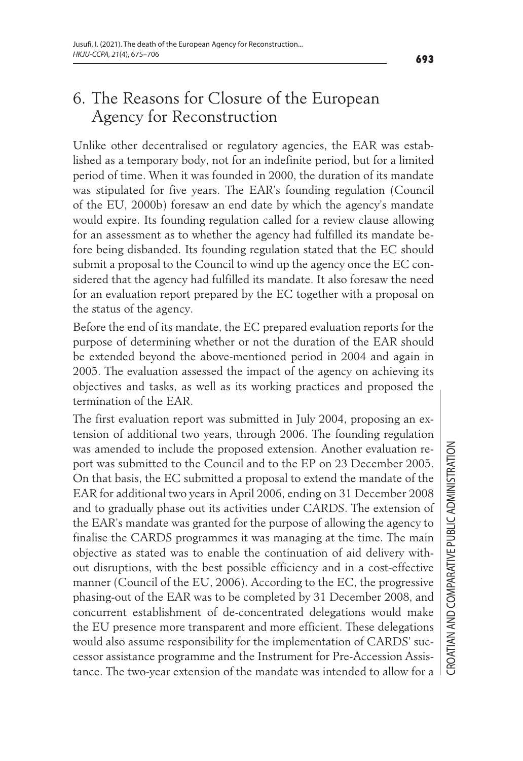## 6. The Reasons for Closure of the European Agency for Reconstruction

Unlike other decentralised or regulatory agencies, the EAR was established as a temporary body, not for an indefinite period, but for a limited period of time. When it was founded in 2000, the duration of its mandate was stipulated for five years. The EAR's founding regulation (Council of the EU, 2000b) foresaw an end date by which the agency's mandate would expire. Its founding regulation called for a review clause allowing for an assessment as to whether the agency had fulfilled its mandate before being disbanded. Its founding regulation stated that the EC should submit a proposal to the Council to wind up the agency once the EC considered that the agency had fulfilled its mandate. It also foresaw the need for an evaluation report prepared by the EC together with a proposal on the status of the agency.

Before the end of its mandate, the EC prepared evaluation reports for the purpose of determining whether or not the duration of the EAR should be extended beyond the above-mentioned period in 2004 and again in 2005. The evaluation assessed the impact of the agency on achieving its objectives and tasks, as well as its working practices and proposed the termination of the EAR.

The first evaluation report was submitted in July 2004, proposing an extension of additional two years, through 2006. The founding regulation was amended to include the proposed extension. Another evaluation report was submitted to the Council and to the EP on 23 December 2005. On that basis, the EC submitted a proposal to extend the mandate of the EAR for additional two years in April 2006, ending on 31 December 2008 and to gradually phase out its activities under CARDS. The extension of the EAR's mandate was granted for the purpose of allowing the agency to finalise the CARDS programmes it was managing at the time. The main objective as stated was to enable the continuation of aid delivery without disruptions, with the best possible efficiency and in a cost-effective manner (Council of the EU, 2006). According to the EC, the progressive phasing-out of the EAR was to be completed by 31 December 2008, and concurrent establishment of de-concentrated delegations would make the EU presence more transparent and more efficient. These delegations would also assume responsibility for the implementation of CARDS' successor assistance programme and the Instrument for Pre-Accession Assistance. The two-year extension of the mandate was intended to allow for a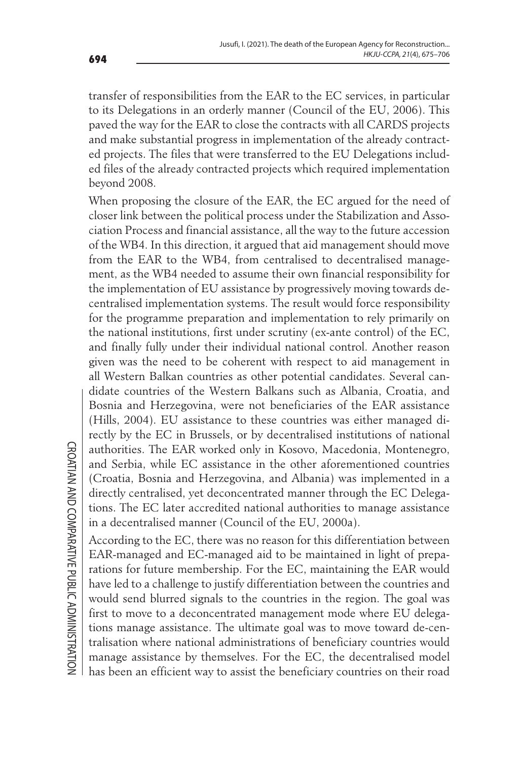transfer of responsibilities from the EAR to the EC services, in particular to its Delegations in an orderly manner (Council of the EU, 2006). This paved the way for the EAR to close the contracts with all CARDS projects and make substantial progress in implementation of the already contracted projects. The files that were transferred to the EU Delegations included files of the already contracted projects which required implementation beyond 2008.

When proposing the closure of the EAR, the EC argued for the need of closer link between the political process under the Stabilization and Association Process and financial assistance, all the way to the future accession of the WB4. In this direction, it argued that aid management should move from the EAR to the WB4, from centralised to decentralised management, as the WB4 needed to assume their own financial responsibility for the implementation of EU assistance by progressively moving towards decentralised implementation systems. The result would force responsibility for the programme preparation and implementation to rely primarily on the national institutions, first under scrutiny (ex-ante control) of the EC, and finally fully under their individual national control. Another reason given was the need to be coherent with respect to aid management in all Western Balkan countries as other potential candidates. Several candidate countries of the Western Balkans such as Albania, Croatia, and Bosnia and Herzegovina, were not beneficiaries of the EAR assistance (Hills, 2004). EU assistance to these countries was either managed directly by the EC in Brussels, or by decentralised institutions of national authorities. The EAR worked only in Kosovo, Macedonia, Montenegro, and Serbia, while EC assistance in the other aforementioned countries (Croatia, Bosnia and Herzegovina, and Albania) was implemented in a directly centralised, yet deconcentrated manner through the EC Delegations. The EC later accredited national authorities to manage assistance in a decentralised manner (Council of the EU, 2000a).

According to the EC, there was no reason for this differentiation between EAR-managed and EC-managed aid to be maintained in light of preparations for future membership. For the EC, maintaining the EAR would have led to a challenge to justify differentiation between the countries and would send blurred signals to the countries in the region. The goal was first to move to a deconcentrated management mode where EU delegations manage assistance. The ultimate goal was to move toward de-centralisation where national administrations of beneficiary countries would manage assistance by themselves. For the EC, the decentralised model has been an efficient way to assist the beneficiary countries on their road

**CROATIAN AND COMPARATIVE PUBLIC ADMINISTRATION** CROATIAN AND COMPARATIVE PUBLIC ADMINISTRATION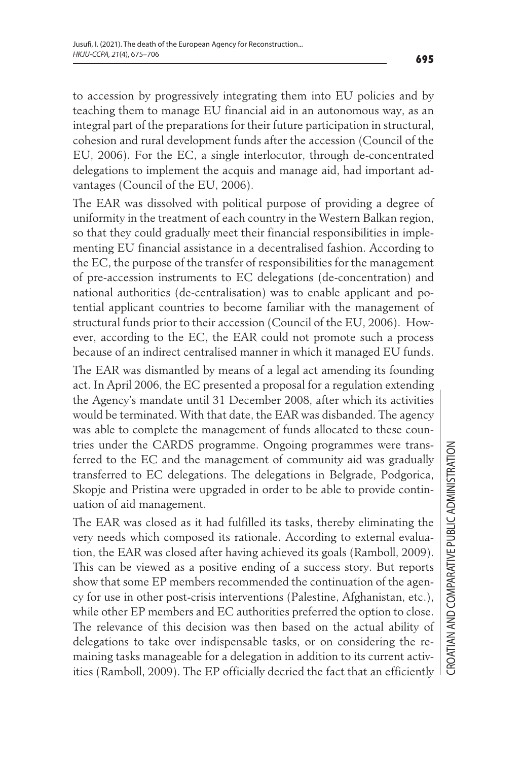to accession by progressively integrating them into EU policies and by teaching them to manage EU financial aid in an autonomous way, as an integral part of the preparations for their future participation in structural, cohesion and rural development funds after the accession (Council of the EU, 2006). For the EC, a single interlocutor, through de-concentrated delegations to implement the acquis and manage aid, had important advantages (Council of the EU, 2006).

The EAR was dissolved with political purpose of providing a degree of uniformity in the treatment of each country in the Western Balkan region, so that they could gradually meet their financial responsibilities in implementing EU financial assistance in a decentralised fashion. According to the EC, the purpose of the transfer of responsibilities for the management of pre-accession instruments to EC delegations (de-concentration) and national authorities (de-centralisation) was to enable applicant and potential applicant countries to become familiar with the management of structural funds prior to their accession (Council of the EU, 2006). However, according to the EC, the EAR could not promote such a process because of an indirect centralised manner in which it managed EU funds.

The EAR was dismantled by means of a legal act amending its founding act. In April 2006, the EC presented a proposal for a regulation extending the Agency's mandate until 31 December 2008, after which its activities would be terminated. With that date, the EAR was disbanded. The agency was able to complete the management of funds allocated to these countries under the CARDS programme. Ongoing programmes were transferred to the EC and the management of community aid was gradually transferred to EC delegations. The delegations in Belgrade, Podgorica, Skopje and Pristina were upgraded in order to be able to provide continuation of aid management.

The EAR was closed as it had fulfilled its tasks, thereby eliminating the very needs which composed its rationale. According to external evaluation, the EAR was closed after having achieved its goals (Ramboll, 2009). This can be viewed as a positive ending of a success story. But reports show that some EP members recommended the continuation of the agency for use in other post-crisis interventions (Palestine, Afghanistan, etc.), while other EP members and EC authorities preferred the option to close. The relevance of this decision was then based on the actual ability of delegations to take over indispensable tasks, or on considering the remaining tasks manageable for a delegation in addition to its current activities (Ramboll, 2009). The EP officially decried the fact that an efficiently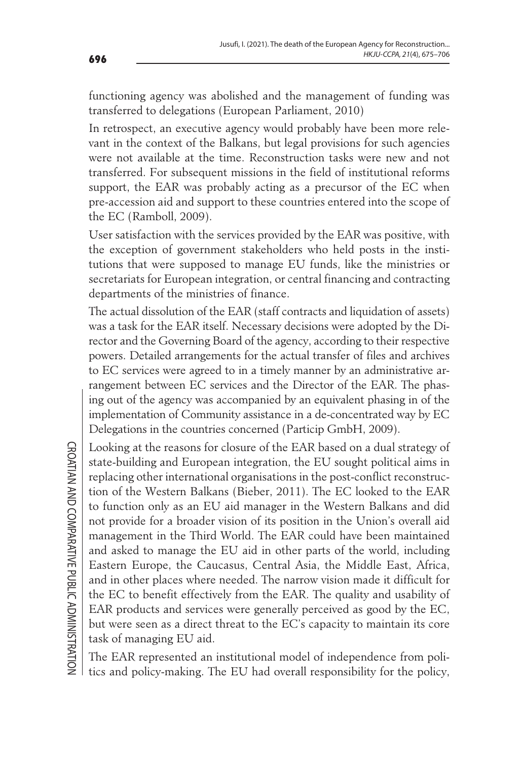functioning agency was abolished and the management of funding was transferred to delegations (European Parliament, 2010)

In retrospect, an executive agency would probably have been more relevant in the context of the Balkans, but legal provisions for such agencies were not available at the time. Reconstruction tasks were new and not transferred. For subsequent missions in the field of institutional reforms support, the EAR was probably acting as a precursor of the EC when pre-accession aid and support to these countries entered into the scope of the EC (Ramboll, 2009).

User satisfaction with the services provided by the EAR was positive, with the exception of government stakeholders who held posts in the institutions that were supposed to manage EU funds, like the ministries or secretariats for European integration, or central financing and contracting departments of the ministries of finance.

The actual dissolution of the EAR (staff contracts and liquidation of assets) was a task for the EAR itself. Necessary decisions were adopted by the Director and the Governing Board of the agency, according to their respective powers. Detailed arrangements for the actual transfer of files and archives to EC services were agreed to in a timely manner by an administrative arrangement between EC services and the Director of the EAR. The phasing out of the agency was accompanied by an equivalent phasing in of the implementation of Community assistance in a de-concentrated way by EC Delegations in the countries concerned (Particip GmbH, 2009).

Looking at the reasons for closure of the EAR based on a dual strategy of state-building and European integration, the EU sought political aims in replacing other international organisations in the post-conflict reconstruction of the Western Balkans (Bieber, 2011). The EC looked to the EAR to function only as an EU aid manager in the Western Balkans and did not provide for a broader vision of its position in the Union's overall aid management in the Third World. The EAR could have been maintained and asked to manage the EU aid in other parts of the world, including Eastern Europe, the Caucasus, Central Asia, the Middle East, Africa, and in other places where needed. The narrow vision made it difficult for the EC to benefit effectively from the EAR. The quality and usability of EAR products and services were generally perceived as good by the EC, but were seen as a direct threat to the EC's capacity to maintain its core task of managing EU aid.

The EAR represented an institutional model of independence from politics and policy-making. The EU had overall responsibility for the policy,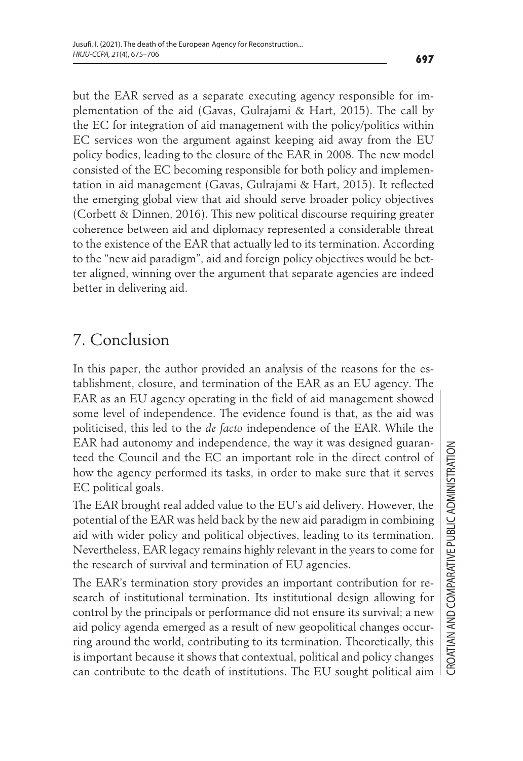but the EAR served as a separate executing agency responsible for implementation of the aid (Gavas, Gulrajami & Hart, 2015). The call by the EC for integration of aid management with the policy/politics within EC services won the argument against keeping aid away from the EU policy bodies, leading to the closure of the EAR in 2008. The new model consisted of the EC becoming responsible for both policy and implementation in aid management (Gavas, Gulrajami & Hart, 2015). It reflected the emerging global view that aid should serve broader policy objectives (Corbett & Dinnen, 2016). This new political discourse requiring greater coherence between aid and diplomacy represented a considerable threat to the existence of the EAR that actually led to its termination. According to the "new aid paradigm", aid and foreign policy objectives would be better aligned, winning over the argument that separate agencies are indeed better in delivering aid.

# 7. Conclusion

In this paper, the author provided an analysis of the reasons for the establishment, closure, and termination of the EAR as an EU agency. The EAR as an EU agency operating in the field of aid management showed some level of independence. The evidence found is that, as the aid was politicised, this led to the *de facto* independence of the EAR. While the EAR had autonomy and independence, the way it was designed guaranteed the Council and the EC an important role in the direct control of how the agency performed its tasks, in order to make sure that it serves EC political goals.

The EAR brought real added value to the EU's aid delivery. However, the potential of the EAR was held back by the new aid paradigm in combining aid with wider policy and political objectives, leading to its termination. Nevertheless, EAR legacy remains highly relevant in the years to come for the research of survival and termination of EU agencies.

The EAR's termination story provides an important contribution for research of institutional termination. Its institutional design allowing for control by the principals or performance did not ensure its survival; a new aid policy agenda emerged as a result of new geopolitical changes occurring around the world, contributing to its termination. Theoretically, this is important because it shows that contextual, political and policy changes can contribute to the death of institutions. The EU sought political aim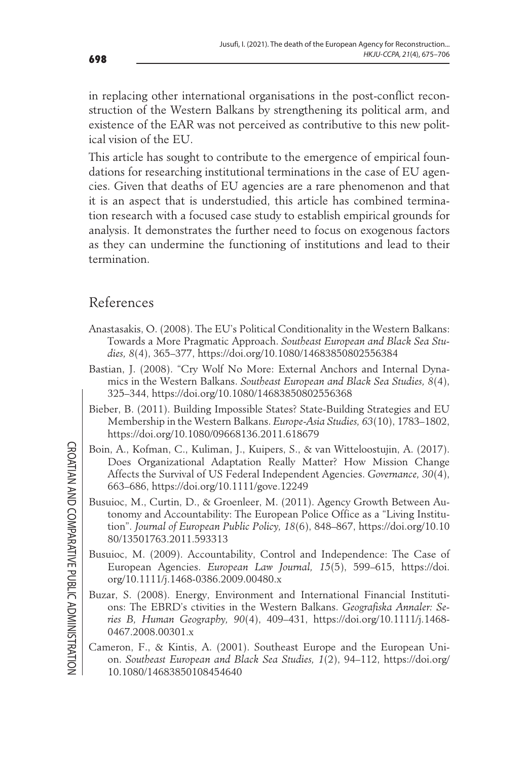in replacing other international organisations in the post-conflict reconstruction of the Western Balkans by strengthening its political arm, and existence of the EAR was not perceived as contributive to this new political vision of the EU.

This article has sought to contribute to the emergence of empirical foundations for researching institutional terminations in the case of EU agencies. Given that deaths of EU agencies are a rare phenomenon and that it is an aspect that is understudied, this article has combined termination research with a focused case study to establish empirical grounds for analysis. It demonstrates the further need to focus on exogenous factors as they can undermine the functioning of institutions and lead to their termination.

#### References

- Anastasakis, O. (2008). The EU's Political Conditionality in the Western Balkans: Towards a More Pragmatic Approach. *Southeast European and Black Sea Studies, 8*(4), 365–377, https://doi.org/10.1080/14683850802556384
- Bastian, J. (2008). "Cry Wolf No More: External Anchors and Internal Dynamics in the Western Balkans. *Southeast European and Black Sea Studies, 8*(4), 325–344, https://doi.org/10.1080/14683850802556368
- Bieber, B. (2011). Building Impossible States? State-Building Strategies and EU Membership in the Western Balkans. *Europe-Asia Studies, 63*(10), 1783–1802, https://doi.org/10.1080/09668136.2011.618679
- Boin, A., Kofman, C., Kuliman, J., Kuipers, S., & van Witteloostujin, A. (2017). Does Organizational Adaptation Really Matter? How Mission Change Affects the Survival of US Federal Independent Agencies. *Governance, 30*(4), 663–686, https://doi.org/10.1111/gove.12249
- Busuioc, M., Curtin, D., & Groenleer, M. (2011). Agency Growth Between Autonomy and Accountability: The European Police Office as a "Living Institution". *Journal of European Public Policy, 18*(6), 848–867, https://doi.org/10.10 80/13501763.2011.593313
- Busuioc, M. (2009). Accountability, Control and Independence: The Case of European Agencies. *European Law Journal, 15*(5), 599–615, https://doi. org/10.1111/j.1468-0386.2009.00480.x
- Buzar, S. (2008). Energy, Environment and International Financial Institutions: The EBRD's ctivities in the Western Balkans. *Geografiska Annaler: Series B, Human Geography, 90*(4), 409–431, https://doi.org/10.1111/j.1468- 0467.2008.00301.x
- Cameron, F., & Kintis, A. (2001). Southeast Europe and the European Union. *Southeast European and Black Sea Studies, 1*(2), 94–112, https://doi.org/ 10.1080/14683850108454640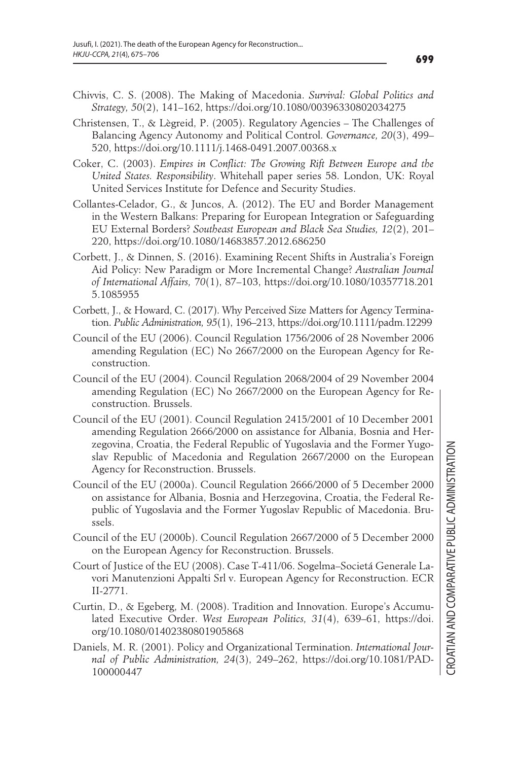- Chivvis, C. S. (2008). The Making of Macedonia. *Survival: Global Politics and Strategy, 50*(2), 141–162, https://doi.org/10.1080/00396330802034275
- Christensen, T., & Lægreid, P. (2005). Regulatory Agencies The Challenges of Balancing Agency Autonomy and Political Control. *Governance, 20*(3), 499– 520, https://doi.org/10.1111/j.1468-0491.2007.00368.x
- Coker, C. (2003). *Empires in Conflict: The Growing Rift Between Europe and the United States. Responsibility*. Whitehall paper series 58. London, UK: Royal United Services Institute for Defence and Security Studies.
- Collantes-Celador, G., & Juncos, A. (2012). The EU and Border Management in the Western Balkans: Preparing for European Integration or Safeguarding EU External Borders? *Southeast European and Black Sea Studies, 12*(2), 201– 220, https://doi.org/10.1080/14683857.2012.686250
- Corbett, J., & Dinnen, S. (2016). Examining Recent Shifts in Australia's Foreign Aid Policy: New Paradigm or More Incremental Change? *Australian Journal of International Affairs, 70*(1), 87–103, https://doi.org/10.1080/10357718.201 5.1085955
- Corbett, J., & Howard, C. (2017). Why Perceived Size Matters for Agency Termination. *Public Administration, 95*(1), 196–213, https://doi.org/10.1111/padm.12299
- Council of the EU (2006). Council Regulation 1756/2006 of 28 November 2006 amending Regulation (EC) No 2667/2000 on the European Agency for Reconstruction.
- Council of the EU (2004). Council Regulation 2068/2004 of 29 November 2004 amending Regulation (EC) No 2667/2000 on the European Agency for Reconstruction. Brussels.
- Council of the EU (2001). Council Regulation 2415/2001 of 10 December 2001 amending Regulation 2666/2000 on assistance for Albania, Bosnia and Herzegovina, Croatia, the Federal Republic of Yugoslavia and the Former Yugoslav Republic of Macedonia and Regulation 2667/2000 on the European Agency for Reconstruction. Brussels.
- Council of the EU (2000a). Council Regulation 2666/2000 of 5 December 2000 on assistance for Albania, Bosnia and Herzegovina, Croatia, the Federal Republic of Yugoslavia and the Former Yugoslav Republic of Macedonia. Brussels.
- Council of the EU (2000b). Council Regulation 2667/2000 of 5 December 2000 on the European Agency for Reconstruction. Brussels.
- Court of Justice of the EU (2008). Case T-411/06. Sogelma–Societá Generale Lavori Manutenzioni Appalti Srl v. European Agency for Reconstruction. ECR II-2771.
- Curtin, D., & Egeberg, M. (2008). Tradition and Innovation. Europe's Accumulated Executive Order. *West European Politics, 31*(4), 639–61, https://doi. org/10.1080/01402380801905868
- Daniels, M. R. (2001). Policy and Organizational Termination. *International Journal of Public Administration, 24*(3), 249–262, https://doi.org/10.1081/PAD-100000447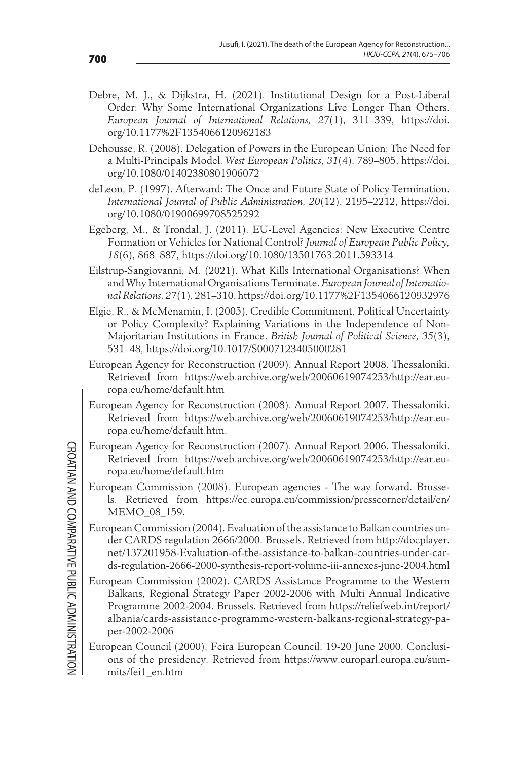- Debre, M. J., & Dijkstra, H. (2021). Institutional Design for a Post-Liberal Order: Why Some International Organizations Live Longer Than Others. *European Journal of International Relations, 27*(1), 311–339, https://doi. org/10.1177%2F1354066120962183
- Dehousse, R. (2008). Delegation of Powers in the European Union: The Need for a Multi-Principals Model. *West European Politics, 31*(4), 789–805, https://doi. org/10.1080/01402380801906072
- deLeon, P. (1997). Afterward: The Once and Future State of Policy Termination. *International Journal of Public Administration, 20*(12), 2195–2212, https://doi. org/10.1080/01900699708525292
- Egeberg, M., & Trondal, J. (2011). EU-Level Agencies: New Executive Centre Formation or Vehicles for National Control? *Journal of European Public Policy, 18*(6), 868–887, https://doi.org/10.1080/13501763.2011.593314
- Eilstrup-Sangiovanni, M. (2021). What Kills International Organisations? When and Why International Organisations Terminate. *European Journal of International Relations, 27*(1), 281–310, https://doi.org/10.1177%2F1354066120932976
- Elgie, R., & McMenamin, I. (2005). Credible Commitment, Political Uncertainty or Policy Complexity? Explaining Variations in the Independence of Non-Majoritarian Institutions in France. *British Journal of Political Science, 35*(3), 531–48, https://doi.org/10.1017/S0007123405000281
- European Agency for Reconstruction (2009). Annual Report 2008. Thessaloniki. Retrieved from https://web.archive.org/web/20060619074253/http://ear.europa.eu/home/default.htm
- European Agency for Reconstruction (2008). Annual Report 2007. Thessaloniki. Retrieved from https://web.archive.org/web/20060619074253/http://ear.europa.eu/home/default.htm.
- European Agency for Reconstruction (2007). Annual Report 2006. Thessaloniki. Retrieved from https://web.archive.org/web/20060619074253/http://ear.europa.eu/home/default.htm
- European Commission (2008). European agencies The way forward. Brussels. Retrieved from https://ec.europa.eu/commission/presscorner/detail/en/ MEMO\_08\_159.
- European Commission (2004). Evaluation of the assistance to Balkan countries under CARDS regulation 2666/2000. Brussels. Retrieved from http://docplayer. net/137201958-Evaluation-of-the-assistance-to-balkan-countries-under-cards-regulation-2666-2000-synthesis-report-volume-iii-annexes-june-2004.html
- European Commission (2002). CARDS Assistance Programme to the Western Balkans, Regional Strategy Paper 2002-2006 with Multi Annual Indicative Programme 2002-2004. Brussels. Retrieved from https://reliefweb.int/report/ albania/cards-assistance-programme-western-balkans-regional-strategy-paper-2002-2006
- European Council (2000). Feira European Council, 19-20 June 2000. Conclusions of the presidency. Retrieved from https://www.europarl.europa.eu/summits/fei1\_en.htm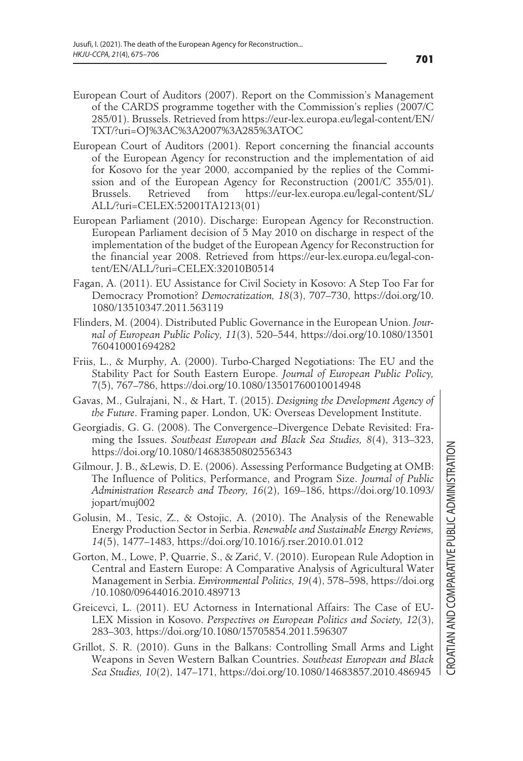- European Court of Auditors (2007). Report on the Commission's Management of the CARDS programme together with the Commission's replies (2007/C 285/01). Brussels. Retrieved from https://eur-lex.europa.eu/legal-content/EN/ TXT/?uri=OJ%3AC%3A2007%3A285%3ATOC
- European Court of Auditors (2001). Report concerning the financial accounts of the European Agency for reconstruction and the implementation of aid for Kosovo for the year 2000, accompanied by the replies of the Commission and of the European Agency for Reconstruction (2001/C 355/01). Brussels. Retrieved from https://eur-lex.europa.eu/legal-content/SL/ ALL/?uri=CELEX:52001TA1213(01)
- European Parliament (2010). Discharge: European Agency for Reconstruction. European Parliament decision of 5 May 2010 on discharge in respect of the implementation of the budget of the European Agency for Reconstruction for the financial year 2008. Retrieved from https://eur-lex.europa.eu/legal-content/EN/ALL/?uri=CELEX:32010B0514
- Fagan, A. (2011). EU Assistance for Civil Society in Kosovo: A Step Too Far for Democracy Promotion? *Democratization, 18*(3), 707–730, https://doi.org/10. 1080/13510347.2011.563119
- Flinders, M. (2004). Distributed Public Governance in the European Union. *Journal of European Public Policy, 11*(3), 520–544, https://doi.org/10.1080/13501 760410001694282
- Friis, L., & Murphy, A. (2000). Turbo-Charged Negotiations: The EU and the Stability Pact for South Eastern Europe. *Journal of European Public Policy, 7*(5), 767–786, https://doi.org/10.1080/13501760010014948
- Gavas, M., Gulrajani, N., & Hart, T. (2015). *Designing the Development Agency of the Future*. Framing paper. London, UK: Overseas Development Institute.
- Georgiadis, G. G. (2008). The Convergence–Divergence Debate Revisited: Framing the Issues. *Southeast European and Black Sea Studies, 8*(4), 313–323, https://doi.org/10.1080/14683850802556343
- Gilmour, J. B., &Lewis, D. E. (2006). Assessing Performance Budgeting at OMB: The Influence of Politics, Performance, and Program Size. *Journal of Public Administration Research and Theory, 16*(2), 169–186, https://doi.org/10.1093/ jopart/muj002
- Golusin, M., Tesic, Z., & Ostojic, A. (2010). The Analysis of the Renewable Energy Production Sector in Serbia. *Renewable and Sustainable Energy Reviews, 14*(5), 1477–1483, https://doi.org/10.1016/j.rser.2010.01.012
- Gorton, M., Lowe, P, Quarrie, S., & Zarić, V. (2010). European Rule Adoption in Central and Eastern Europe: A Comparative Analysis of Agricultural Water Management in Serbia. *Environmental Politics, 19*(4), 578–598, https://doi.org /10.1080/09644016.2010.489713
- Greicevci, L. (2011). EU Actorness in International Affairs: The Case of EU-LEX Mission in Kosovo. *Perspectives on European Politics and Society, 12*(3), 283–303, https://doi.org/10.1080/15705854.2011.596307
- Grillot, S. R. (2010). Guns in the Balkans: Controlling Small Arms and Light Weapons in Seven Western Balkan Countries. *Southeast European and Black Sea Studies, 10*(2), 147–171, https://doi.org/10.1080/14683857.2010.486945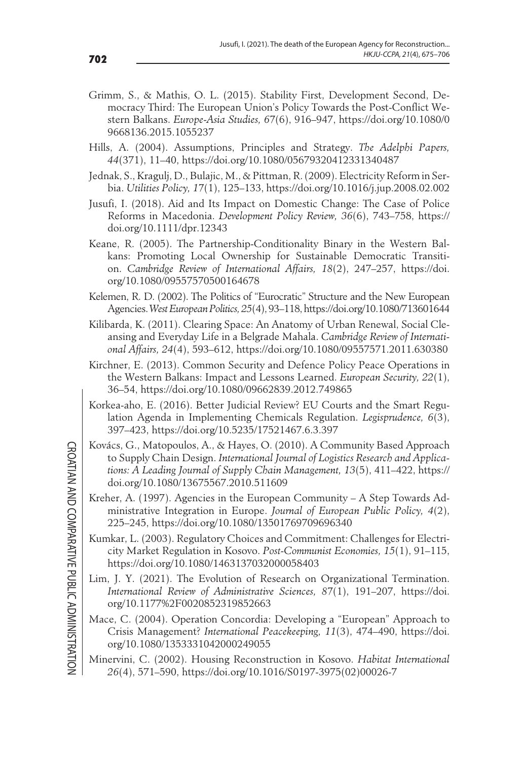- Grimm, S., & Mathis, O. L. (2015). Stability First, Development Second, Democracy Third: The European Union's Policy Towards the Post-Conflict Western Balkans. *Europe-Asia Studies, 67*(6), 916–947, https://doi.org/10.1080/0 9668136.2015.1055237
- Hills, A. (2004). Assumptions, Principles and Strategy. *The Adelphi Papers, 44*(371), 11–40, https://doi.org/10.1080/05679320412331340487
- Jednak, S., Kragulj, D., Bulajic, M., & Pittman, R. (2009). Electricity Reform in Serbia. *Utilities Policy, 17*(1), 125–133, https://doi.org/10.1016/j.jup.2008.02.002
- Jusufi, I. (2018). Aid and Its Impact on Domestic Change: The Case of Police Reforms in Macedonia. *Development Policy Review, 36*(6), 743–758, https:// doi.org/10.1111/dpr.12343
- Keane, R. (2005). The Partnership-Conditionality Binary in the Western Balkans: Promoting Local Ownership for Sustainable Democratic Transition. *Cambridge Review of International Affairs, 18*(2), 247–257, https://doi. org/10.1080/09557570500164678
- Kelemen, R. D. (2002). The Politics of "Eurocratic" Structure and the New European Agencies. *West European Politics, 25*(4), 93–118, https://doi.org/10.1080/713601644
- Kilibarda, K. (2011). Clearing Space: An Anatomy of Urban Renewal, Social Cleansing and Everyday Life in a Belgrade Mahala. *Cambridge Review of International Affairs, 24*(4), 593–612, https://doi.org/10.1080/09557571.2011.630380
- Kirchner, E. (2013). Common Security and Defence Policy Peace Operations in the Western Balkans: Impact and Lessons Learned. *European Security, 22*(1), 36–54, https://doi.org/10.1080/09662839.2012.749865
- Korkea-aho, E. (2016). Better Judicial Review? EU Courts and the Smart Regulation Agenda in Implementing Chemicals Regulation. *Legisprudence, 6*(3), 397–423, https://doi.org/10.5235/17521467.6.3.397
- Kovács, G., Matopoulos, A., & Hayes, O. (2010). A Community Based Approach to Supply Chain Design. *International Journal of Logistics Research and Applications: A Leading Journal of Supply Chain Management, 13*(5), 411–422, https:// doi.org/10.1080/13675567.2010.511609
- Kreher, A. (1997). Agencies in the European Community A Step Towards Administrative Integration in Europe. *Journal of European Public Policy, 4*(2), 225–245, https://doi.org/10.1080/13501769709696340
- Kumkar, L. (2003). Regulatory Choices and Commitment: Challenges for Electricity Market Regulation in Kosovo. *Post-Communist Economies, 15*(1), 91–115, https://doi.org/10.1080/1463137032000058403
- Lim, J. Y. (2021). The Evolution of Research on Organizational Termination. *International Review of Administrative Sciences, 87*(1), 191–207, https://doi. org/10.1177%2F0020852319852663
- Mace, C. (2004). Operation Concordia: Developing a "European" Approach to Crisis Management? *International Peacekeeping, 11*(3), 474–490, https://doi. org/10.1080/1353331042000249055
- Minervini, C. (2002). Housing Reconstruction in Kosovo. *Habitat International 26*(4), 571–590, https://doi.org/10.1016/S0197-3975(02)00026-7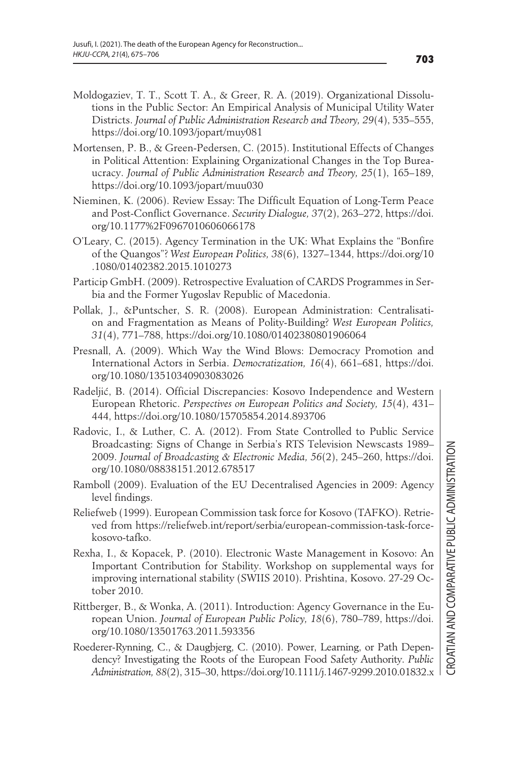- Moldogaziev, T. T., Scott T. A., & Greer, R. A. (2019). Organizational Dissolutions in the Public Sector: An Empirical Analysis of Municipal Utility Water Districts. *Journal of Public Administration Research and Theory, 29*(4), 535–555, https://doi.org/10.1093/jopart/muy081
- Mortensen, P. B., & Green-Pedersen, C. (2015). Institutional Effects of Changes in Political Attention: Explaining Organizational Changes in the Top Bureaucracy. *Journal of Public Administration Research and Theory, 25*(1), 165–189, https://doi.org/10.1093/jopart/muu030
- Nieminen, K. (2006). Review Essay: The Difficult Equation of Long-Term Peace and Post-Conflict Governance. *Security Dialogue, 37*(2), 263–272, https://doi. org/10.1177%2F0967010606066178
- O'Leary, C. (2015). Agency Termination in the UK: What Explains the "Bonfire of the Quangos"? *West European Politics, 38*(6), 1327–1344, https://doi.org/10 .1080/01402382.2015.1010273
- Particip GmbH. (2009). Retrospective Evaluation of CARDS Programmes in Serbia and the Former Yugoslav Republic of Macedonia.
- Pollak, J., &Puntscher, S. R. (2008). European Administration: Centralisation and Fragmentation as Means of Polity-Building? *West European Politics, 31*(4), 771–788, https://doi.org/10.1080/01402380801906064
- Presnall, A. (2009). Which Way the Wind Blows: Democracy Promotion and International Actors in Serbia. *Democratization, 16*(4), 661–681, https://doi. org/10.1080/13510340903083026
- Radeljić, B. (2014). Official Discrepancies: Kosovo Independence and Western European Rhetoric. *Perspectives on European Politics and Society, 15*(4), 431– 444, https://doi.org/10.1080/15705854.2014.893706
- Radovic, I., & Luther, C. A. (2012). From State Controlled to Public Service Broadcasting: Signs of Change in Serbia's RTS Television Newscasts 1989– 2009. *Journal of Broadcasting & Electronic Media, 56*(2), 245–260, https://doi. org/10.1080/08838151.2012.678517
- Ramboll (2009). Evaluation of the EU Decentralised Agencies in 2009: Agency level findings.
- Reliefweb (1999). European Commission task force for Kosovo (TAFKO). Retrieved from https://reliefweb.int/report/serbia/european-commission-task-forcekosovo-tafko.
- Rexha, I., & Kopacek, P. (2010). Electronic Waste Management in Kosovo: An Important Contribution for Stability. Workshop on supplemental ways for improving international stability (SWIIS 2010). Prishtina, Kosovo. 27-29 October 2010.
- Rittberger, B., & Wonka, A. (2011). Introduction: Agency Governance in the European Union. *Journal of European Public Policy, 18*(6), 780–789, https://doi. org/10.1080/13501763.2011.593356
- Roederer-Rynning, C., & Daugbjerg, C. (2010). Power, Learning, or Path Dependency? Investigating the Roots of the European Food Safety Authority. *Public Administration, 88*(2), 315–30, https://doi.org/10.1111/j.1467-9299.2010.01832.x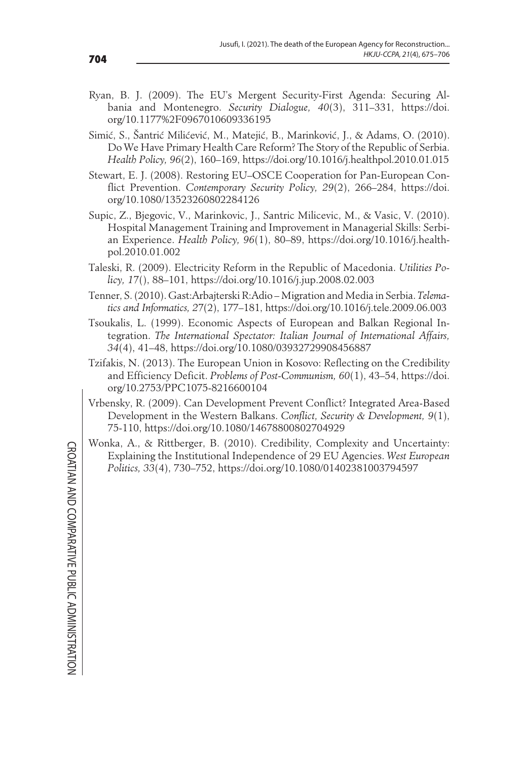- Ryan, B. J. (2009). The EU's Mergent Security-First Agenda: Securing Albania and Montenegro. *Security Dialogue, 40*(3), 311–331, https://doi. org/10.1177%2F0967010609336195
- Simić, S., Šantrić Milićević, M., Matejić, B., Marinković, J., & Adams, O. (2010). Do We Have Primary Health Care Reform? The Story of the Republic of Serbia. *Health Policy, 96*(2), 160–169, https://doi.org/10.1016/j.healthpol.2010.01.015
- Stewart, E. J. (2008). Restoring EU–OSCE Cooperation for Pan-European Conflict Prevention. *Contemporary Security Policy, 29*(2), 266–284, https://doi. org/10.1080/13523260802284126
- Supic, Z., Bjegovic, V., Marinkovic, J., Santric Milicevic, M., & Vasic, V. (2010). Hospital Management Training and Improvement in Managerial Skills: Serbian Experience. *Health Policy, 96*(1), 80–89, https://doi.org/10.1016/j.healthpol.2010.01.002
- Taleski, R. (2009). Electricity Reform in the Republic of Macedonia. *Utilities Policy, 17*(), 88–101, https://doi.org/10.1016/j.jup.2008.02.003
- Tenner, S. (2010). Gast:Arbajterski R:Adio Migration and Media in Serbia. *Telematics and Informatics, 27*(2), 177–181, https://doi.org/10.1016/j.tele.2009.06.003
- Tsoukalis, L. (1999). Economic Aspects of European and Balkan Regional Integration. *The International Spectator: Italian Journal of International Affairs, 34*(4), 41–48, https://doi.org/10.1080/03932729908456887
- Tzifakis, N. (2013). The European Union in Kosovo: Reflecting on the Credibility and Efficiency Deficit. *Problems of Post-Communism, 60*(1), 43–54, https://doi. org/10.2753/PPC1075-8216600104
- Vrbensky, R. (2009). Can Development Prevent Conflict? Integrated Area-Based Development in the Western Balkans. *Conflict, Security & Development, 9*(1), 75-110, https://doi.org/10.1080/14678800802704929
- Wonka, A., & Rittberger, B. (2010). Credibility, Complexity and Uncertainty: Explaining the Institutional Independence of 29 EU Agencies. *West European Politics, 33*(4), 730–752, https://doi.org/10.1080/01402381003794597

**CROATIAN AND COMPARATIVE PUBLIC ADMINISTRATION** CROATIAN AND COMPARATIVE PUBLIC ADMINISTRATION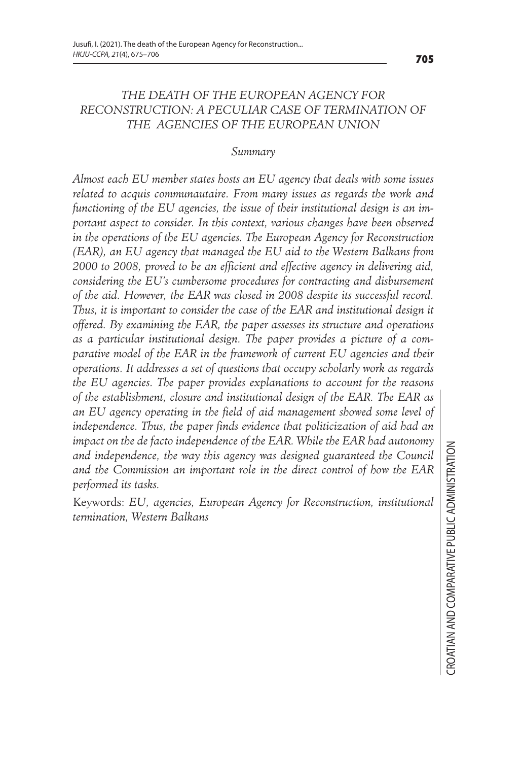#### *THE DEATH OF THE EUROPEAN AGENCY FOR RECONSTRUCTION: A PECULIAR CASE OF TERMINATION OF THE AGENCIES OF THE EUROPEAN UNION*

#### *Summary*

*Almost each EU member states hosts an EU agency that deals with some issues related to acquis communautaire. From many issues as regards the work and functioning of the EU agencies, the issue of their institutional design is an important aspect to consider. In this context, various changes have been observed in the operations of the EU agencies. The European Agency for Reconstruction (EAR), an EU agency that managed the EU aid to the Western Balkans from 2000 to 2008, proved to be an efficient and effective agency in delivering aid, considering the EU's cumbersome procedures for contracting and disbursement of the aid. However, the EAR was closed in 2008 despite its successful record. Thus, it is important to consider the case of the EAR and institutional design it offered. By examining the EAR, the paper assesses its structure and operations as a particular institutional design. The paper provides a picture of a comparative model of the EAR in the framework of current EU agencies and their operations. It addresses a set of questions that occupy scholarly work as regards the EU agencies. The paper provides explanations to account for the reasons of the establishment, closure and institutional design of the EAR. The EAR as an EU agency operating in the field of aid management showed some level of independence. Thus, the paper finds evidence that politicization of aid had an impact on the de facto independence of the EAR. While the EAR had autonomy and independence, the way this agency was designed guaranteed the Council and the Commission an important role in the direct control of how the EAR performed its tasks.* 

Keywords: *EU, agencies, European Agency for Reconstruction, institutional termination, Western Balkans*